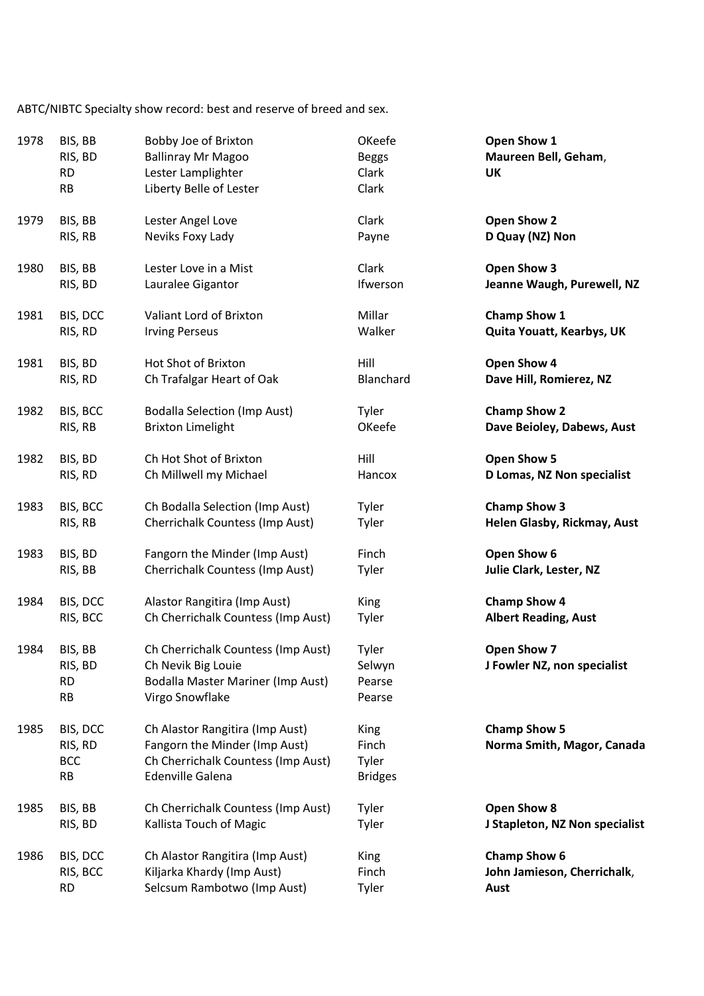ABTC/NIBTC Specialty show record: best and reserve of breed and sex.

| 1978 | BIS, BB<br>RIS, BD<br><b>RD</b><br><b>RB</b>   | Bobby Joe of Brixton<br><b>Ballinray Mr Magoo</b><br>Lester Lamplighter<br>Liberty Belle of Lester                                | OKeefe<br><b>Beggs</b><br>Clark<br>Clark | Open Show 1<br>Maureen Bell, Geham,<br>UK         |
|------|------------------------------------------------|-----------------------------------------------------------------------------------------------------------------------------------|------------------------------------------|---------------------------------------------------|
| 1979 | BIS, BB                                        | Lester Angel Love                                                                                                                 | Clark                                    | Open Show 2                                       |
|      | RIS, RB                                        | Neviks Foxy Lady                                                                                                                  | Payne                                    | D Quay (NZ) Non                                   |
| 1980 | BIS, BB                                        | Lester Love in a Mist                                                                                                             | Clark                                    | Open Show 3                                       |
|      | RIS, BD                                        | Lauralee Gigantor                                                                                                                 | Ifwerson                                 | Jeanne Waugh, Purewell, NZ                        |
| 1981 | BIS, DCC                                       | Valiant Lord of Brixton                                                                                                           | Millar                                   | <b>Champ Show 1</b>                               |
|      | RIS, RD                                        | <b>Irving Perseus</b>                                                                                                             | Walker                                   | Quita Youatt, Kearbys, UK                         |
| 1981 | BIS, BD                                        | Hot Shot of Brixton                                                                                                               | Hill                                     | Open Show 4                                       |
|      | RIS, RD                                        | Ch Trafalgar Heart of Oak                                                                                                         | Blanchard                                | Dave Hill, Romierez, NZ                           |
| 1982 | BIS, BCC                                       | <b>Bodalla Selection (Imp Aust)</b>                                                                                               | Tyler                                    | <b>Champ Show 2</b>                               |
|      | RIS, RB                                        | <b>Brixton Limelight</b>                                                                                                          | OKeefe                                   | Dave Beioley, Dabews, Aust                        |
| 1982 | BIS, BD                                        | Ch Hot Shot of Brixton                                                                                                            | Hill                                     | Open Show 5                                       |
|      | RIS, RD                                        | Ch Millwell my Michael                                                                                                            | Hancox                                   | D Lomas, NZ Non specialist                        |
| 1983 | BIS, BCC                                       | Ch Bodalla Selection (Imp Aust)                                                                                                   | Tyler                                    | <b>Champ Show 3</b>                               |
|      | RIS, RB                                        | Cherrichalk Countess (Imp Aust)                                                                                                   | Tyler                                    | Helen Glasby, Rickmay, Aust                       |
| 1983 | BIS, BD                                        | Fangorn the Minder (Imp Aust)                                                                                                     | Finch                                    | Open Show 6                                       |
|      | RIS, BB                                        | Cherrichalk Countess (Imp Aust)                                                                                                   | Tyler                                    | Julie Clark, Lester, NZ                           |
| 1984 | BIS, DCC                                       | Alastor Rangitira (Imp Aust)                                                                                                      | King                                     | <b>Champ Show 4</b>                               |
|      | RIS, BCC                                       | Ch Cherrichalk Countess (Imp Aust)                                                                                                | Tyler                                    | <b>Albert Reading, Aust</b>                       |
| 1984 | BIS, BB<br>RIS, BD<br><b>RD</b><br><b>RB</b>   | Ch Cherrichalk Countess (Imp Aust)<br>Ch Nevik Big Louie<br>Bodalla Master Mariner (Imp Aust)<br>Virgo Snowflake                  | Tyler<br>Selwyn<br>Pearse<br>Pearse      | Open Show 7<br>J Fowler NZ, non specialist        |
| 1985 | BIS, DCC<br>RIS, RD<br><b>BCC</b><br><b>RB</b> | Ch Alastor Rangitira (Imp Aust)<br>Fangorn the Minder (Imp Aust)<br>Ch Cherrichalk Countess (Imp Aust)<br><b>Edenville Galena</b> | King<br>Finch<br>Tyler<br><b>Bridges</b> | <b>Champ Show 5</b><br>Norma Smith, Magor, Canada |
| 1985 | BIS, BB                                        | Ch Cherrichalk Countess (Imp Aust)                                                                                                | Tyler                                    | Open Show 8                                       |
|      | RIS, BD                                        | Kallista Touch of Magic                                                                                                           | Tyler                                    | J Stapleton, NZ Non specialist                    |
| 1986 | BIS, DCC                                       | Ch Alastor Rangitira (Imp Aust)                                                                                                   | King                                     | <b>Champ Show 6</b>                               |
|      | RIS, BCC                                       | Kiljarka Khardy (Imp Aust)                                                                                                        | Finch                                    | John Jamieson, Cherrichalk,                       |
|      | <b>RD</b>                                      | Selcsum Rambotwo (Imp Aust)                                                                                                       | Tyler                                    | Aust                                              |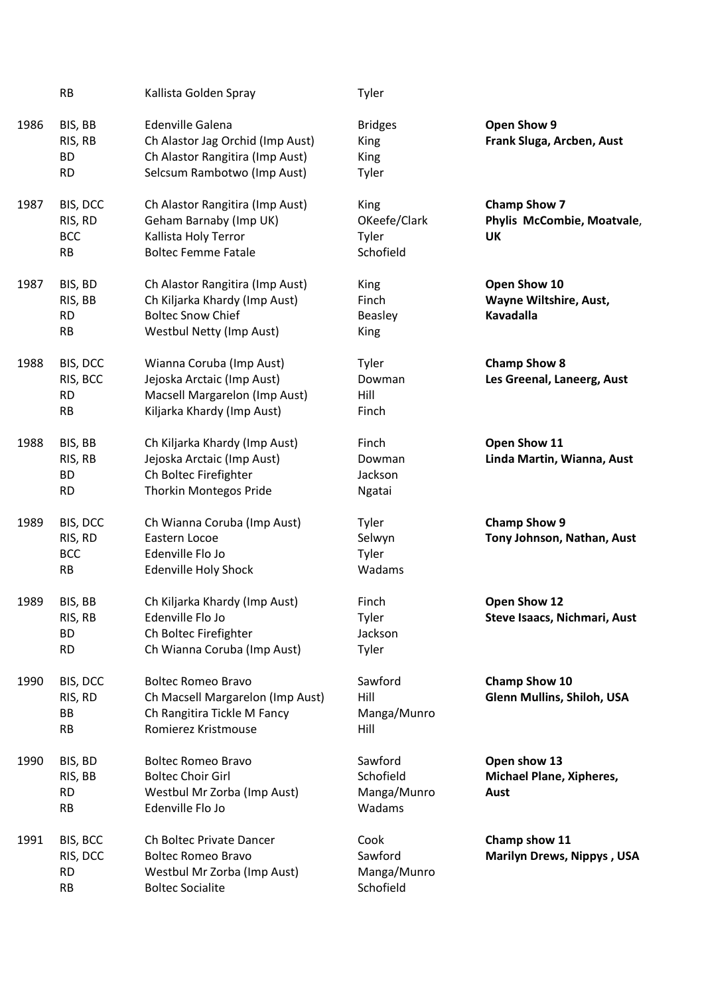|      | <b>RB</b>                                      | Kallista Golden Spray                                                                                                           | Tyler                                         |                                                                |
|------|------------------------------------------------|---------------------------------------------------------------------------------------------------------------------------------|-----------------------------------------------|----------------------------------------------------------------|
| 1986 | BIS, BB<br>RIS, RB<br><b>BD</b><br><b>RD</b>   | <b>Edenville Galena</b><br>Ch Alastor Jag Orchid (Imp Aust)<br>Ch Alastor Rangitira (Imp Aust)<br>Selcsum Rambotwo (Imp Aust)   | <b>Bridges</b><br>King<br>King<br>Tyler       | Open Show 9<br>Frank Sluga, Arcben, Aust                       |
| 1987 | BIS, DCC<br>RIS, RD<br><b>BCC</b><br>RB        | Ch Alastor Rangitira (Imp Aust)<br>Geham Barnaby (Imp UK)<br>Kallista Holy Terror<br><b>Boltec Femme Fatale</b>                 | King<br>OKeefe/Clark<br>Tyler<br>Schofield    | <b>Champ Show 7</b><br>Phylis McCombie, Moatvale,<br><b>UK</b> |
| 1987 | BIS, BD<br>RIS, BB<br><b>RD</b><br><b>RB</b>   | Ch Alastor Rangitira (Imp Aust)<br>Ch Kiljarka Khardy (Imp Aust)<br><b>Boltec Snow Chief</b><br><b>Westbul Netty (Imp Aust)</b> | King<br>Finch<br><b>Beasley</b><br>King       | Open Show 10<br>Wayne Wiltshire, Aust,<br>Kavadalla            |
| 1988 | BIS, DCC<br>RIS, BCC<br><b>RD</b><br><b>RB</b> | Wianna Coruba (Imp Aust)<br>Jejoska Arctaic (Imp Aust)<br>Macsell Margarelon (Imp Aust)<br>Kiljarka Khardy (Imp Aust)           | Tyler<br>Dowman<br>Hill<br>Finch              | <b>Champ Show 8</b><br>Les Greenal, Laneerg, Aust              |
| 1988 | BIS, BB<br>RIS, RB<br><b>BD</b><br><b>RD</b>   | Ch Kiljarka Khardy (Imp Aust)<br>Jejoska Arctaic (Imp Aust)<br>Ch Boltec Firefighter<br><b>Thorkin Montegos Pride</b>           | Finch<br>Dowman<br>Jackson<br>Ngatai          | Open Show 11<br>Linda Martin, Wianna, Aust                     |
| 1989 | BIS, DCC<br>RIS, RD<br><b>BCC</b><br><b>RB</b> | Ch Wianna Coruba (Imp Aust)<br>Eastern Locoe<br>Edenville Flo Jo<br>Edenville Holy Shock                                        | Tyler<br>Selwyn<br>Tyler<br>Wadams            | <b>Champ Show 9</b><br>Tony Johnson, Nathan, Aust              |
| 1989 | BIS, BB<br>RIS, RB<br><b>BD</b><br><b>RD</b>   | Ch Kiljarka Khardy (Imp Aust)<br>Edenville Flo Jo<br>Ch Boltec Firefighter<br>Ch Wianna Coruba (Imp Aust)                       | Finch<br>Tyler<br>Jackson<br>Tyler            | Open Show 12<br>Steve Isaacs, Nichmari, Aust                   |
| 1990 | BIS, DCC<br>RIS, RD<br>BB<br><b>RB</b>         | <b>Boltec Romeo Bravo</b><br>Ch Macsell Margarelon (Imp Aust)<br>Ch Rangitira Tickle M Fancy<br>Romierez Kristmouse             | Sawford<br>Hill<br>Manga/Munro<br>Hill        | Champ Show 10<br>Glenn Mullins, Shiloh, USA                    |
| 1990 | BIS, BD<br>RIS, BB<br><b>RD</b><br><b>RB</b>   | <b>Boltec Romeo Bravo</b><br><b>Boltec Choir Girl</b><br>Westbul Mr Zorba (Imp Aust)<br>Edenville Flo Jo                        | Sawford<br>Schofield<br>Manga/Munro<br>Wadams | Open show 13<br><b>Michael Plane, Xipheres,</b><br>Aust        |
| 1991 | BIS, BCC<br>RIS, DCC<br><b>RD</b><br><b>RB</b> | Ch Boltec Private Dancer<br><b>Boltec Romeo Bravo</b><br>Westbul Mr Zorba (Imp Aust)<br><b>Boltec Socialite</b>                 | Cook<br>Sawford<br>Manga/Munro<br>Schofield   | Champ show 11<br><b>Marilyn Drews, Nippys, USA</b>             |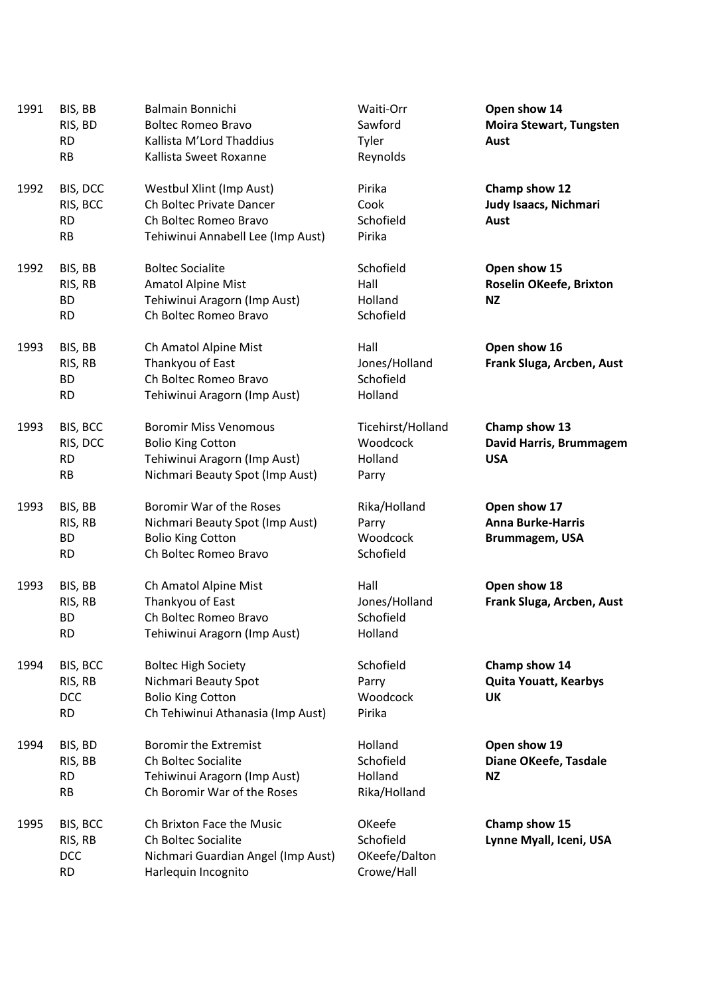| 1991 | BIS, BB<br>RIS, BD<br><b>RD</b><br><b>RB</b>   | Balmain Bonnichi<br><b>Boltec Romeo Bravo</b><br>Kallista M'Lord Thaddius<br>Kallista Sweet Roxanne                         | Waiti-Orr<br>Sawford<br>Tyler<br>Reynolds          | Open show 14<br><b>Moira Stewart, Tungsten</b><br>Aust     |
|------|------------------------------------------------|-----------------------------------------------------------------------------------------------------------------------------|----------------------------------------------------|------------------------------------------------------------|
| 1992 | BIS, DCC<br>RIS, BCC<br><b>RD</b><br><b>RB</b> | Westbul Xlint (Imp Aust)<br>Ch Boltec Private Dancer<br>Ch Boltec Romeo Bravo<br>Tehiwinui Annabell Lee (Imp Aust)          | Pirika<br>Cook<br>Schofield<br>Pirika              | Champ show 12<br>Judy Isaacs, Nichmari<br>Aust             |
| 1992 | BIS, BB<br>RIS, RB<br><b>BD</b><br><b>RD</b>   | <b>Boltec Socialite</b><br>Amatol Alpine Mist<br>Tehiwinui Aragorn (Imp Aust)<br>Ch Boltec Romeo Bravo                      | Schofield<br>Hall<br>Holland<br>Schofield          | Open show 15<br>Roselin OKeefe, Brixton<br><b>NZ</b>       |
| 1993 | BIS, BB<br>RIS, RB<br><b>BD</b><br><b>RD</b>   | Ch Amatol Alpine Mist<br>Thankyou of East<br>Ch Boltec Romeo Bravo<br>Tehiwinui Aragorn (Imp Aust)                          | Hall<br>Jones/Holland<br>Schofield<br>Holland      | Open show 16<br>Frank Sluga, Arcben, Aust                  |
| 1993 | BIS, BCC<br>RIS, DCC<br><b>RD</b><br>RB        | <b>Boromir Miss Venomous</b><br><b>Bolio King Cotton</b><br>Tehiwinui Aragorn (Imp Aust)<br>Nichmari Beauty Spot (Imp Aust) | Ticehirst/Holland<br>Woodcock<br>Holland<br>Parry  | Champ show 13<br>David Harris, Brummagem<br><b>USA</b>     |
| 1993 | BIS, BB<br>RIS, RB<br><b>BD</b><br><b>RD</b>   | Boromir War of the Roses<br>Nichmari Beauty Spot (Imp Aust)<br><b>Bolio King Cotton</b><br>Ch Boltec Romeo Bravo            | Rika/Holland<br>Parry<br>Woodcock<br>Schofield     | Open show 17<br><b>Anna Burke-Harris</b><br>Brummagem, USA |
| 1993 | BIS, BB<br>RIS, RB<br><b>BD</b><br><b>RD</b>   | Ch Amatol Alpine Mist<br>Thankyou of East<br>Ch Boltec Romeo Bravo<br>Tehiwinui Aragorn (Imp Aust)                          | Hall<br>Jones/Holland<br>Schofield<br>Holland      | Open show 18<br>Frank Sluga, Arcben, Aust                  |
| 1994 | BIS, BCC<br>RIS, RB<br><b>DCC</b><br><b>RD</b> | <b>Boltec High Society</b><br>Nichmari Beauty Spot<br><b>Bolio King Cotton</b><br>Ch Tehiwinui Athanasia (Imp Aust)         | Schofield<br>Parry<br>Woodcock<br>Pirika           | Champ show 14<br><b>Quita Youatt, Kearbys</b><br>UK        |
| 1994 | BIS, BD<br>RIS, BB<br><b>RD</b><br><b>RB</b>   | <b>Boromir the Extremist</b><br>Ch Boltec Socialite<br>Tehiwinui Aragorn (Imp Aust)<br>Ch Boromir War of the Roses          | Holland<br>Schofield<br>Holland<br>Rika/Holland    | Open show 19<br>Diane OKeefe, Tasdale<br><b>NZ</b>         |
| 1995 | BIS, BCC<br>RIS, RB<br><b>DCC</b><br><b>RD</b> | Ch Brixton Face the Music<br>Ch Boltec Socialite<br>Nichmari Guardian Angel (Imp Aust)<br>Harlequin Incognito               | OKeefe<br>Schofield<br>OKeefe/Dalton<br>Crowe/Hall | Champ show 15<br>Lynne Myall, Iceni, USA                   |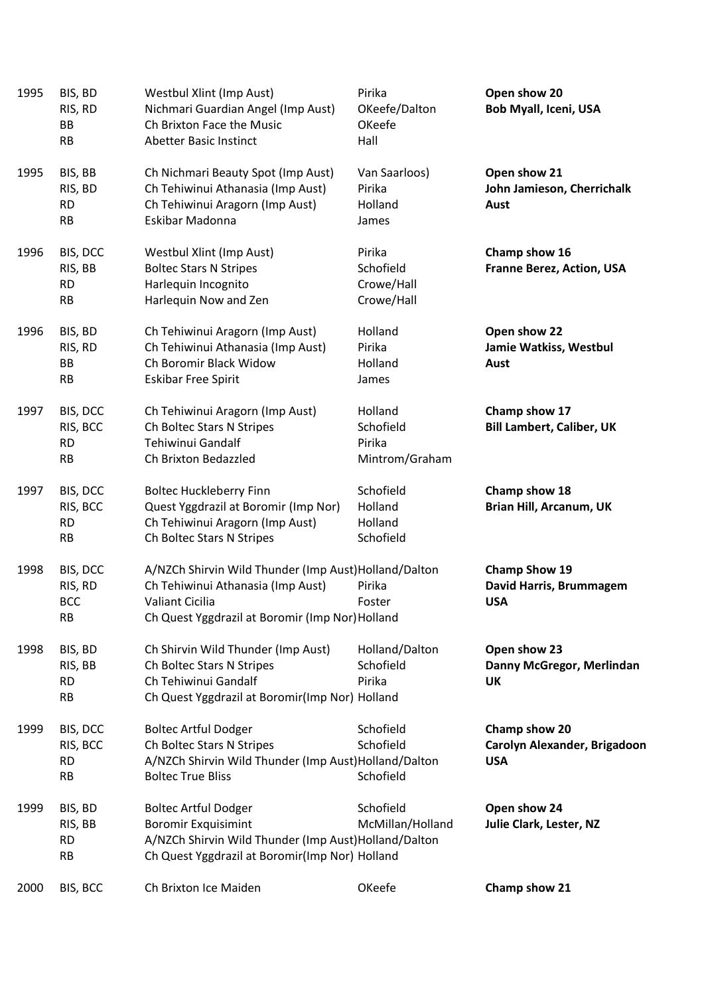| 1995 | BIS, BD<br>RIS, RD<br><b>BB</b><br><b>RB</b>   | Westbul Xlint (Imp Aust)<br>Nichmari Guardian Angel (Imp Aust)<br>Ch Brixton Face the Music<br>Abetter Basic Instinct                                               | Pirika<br>OKeefe/Dalton<br>OKeefe<br>Hall        | Open show 20<br>Bob Myall, Iceni, USA                         |
|------|------------------------------------------------|---------------------------------------------------------------------------------------------------------------------------------------------------------------------|--------------------------------------------------|---------------------------------------------------------------|
| 1995 | BIS, BB<br>RIS, BD<br><b>RD</b><br><b>RB</b>   | Ch Nichmari Beauty Spot (Imp Aust)<br>Ch Tehiwinui Athanasia (Imp Aust)<br>Ch Tehiwinui Aragorn (Imp Aust)<br>Eskibar Madonna                                       | Van Saarloos)<br>Pirika<br>Holland<br>James      | Open show 21<br>John Jamieson, Cherrichalk<br>Aust            |
| 1996 | BIS, DCC<br>RIS, BB<br><b>RD</b><br><b>RB</b>  | Westbul Xlint (Imp Aust)<br><b>Boltec Stars N Stripes</b><br>Harlequin Incognito<br>Harlequin Now and Zen                                                           | Pirika<br>Schofield<br>Crowe/Hall<br>Crowe/Hall  | Champ show 16<br><b>Franne Berez, Action, USA</b>             |
| 1996 | BIS, BD<br>RIS, RD<br>BB<br>RB                 | Ch Tehiwinui Aragorn (Imp Aust)<br>Ch Tehiwinui Athanasia (Imp Aust)<br>Ch Boromir Black Widow<br><b>Eskibar Free Spirit</b>                                        | Holland<br>Pirika<br>Holland<br>James            | Open show 22<br>Jamie Watkiss, Westbul<br>Aust                |
| 1997 | BIS, DCC<br>RIS, BCC<br><b>RD</b><br>RB        | Ch Tehiwinui Aragorn (Imp Aust)<br>Ch Boltec Stars N Stripes<br>Tehiwinui Gandalf<br>Ch Brixton Bedazzled                                                           | Holland<br>Schofield<br>Pirika<br>Mintrom/Graham | Champ show 17<br><b>Bill Lambert, Caliber, UK</b>             |
| 1997 | BIS, DCC<br>RIS, BCC<br><b>RD</b><br><b>RB</b> | <b>Boltec Huckleberry Finn</b><br>Quest Yggdrazil at Boromir (Imp Nor)<br>Ch Tehiwinui Aragorn (Imp Aust)<br>Ch Boltec Stars N Stripes                              | Schofield<br>Holland<br>Holland<br>Schofield     | Champ show 18<br>Brian Hill, Arcanum, UK                      |
| 1998 | BIS, DCC<br>RIS, RD<br><b>BCC</b><br>RB        | A/NZCh Shirvin Wild Thunder (Imp Aust)Holland/Dalton<br>Ch Tehiwinui Athanasia (Imp Aust)<br>Valiant Cicilia<br>Ch Quest Yggdrazil at Boromir (Imp Nor) Holland     | Pirika<br>Foster                                 | <b>Champ Show 19</b><br>David Harris, Brummagem<br><b>USA</b> |
| 1998 | BIS, BD<br>RIS, BB<br><b>RD</b><br><b>RB</b>   | Ch Shirvin Wild Thunder (Imp Aust)<br>Ch Boltec Stars N Stripes<br>Ch Tehiwinui Gandalf<br>Ch Quest Yggdrazil at Boromir(Imp Nor) Holland                           | Holland/Dalton<br>Schofield<br>Pirika            | Open show 23<br>Danny McGregor, Merlindan<br><b>UK</b>        |
| 1999 | BIS, DCC<br>RIS, BCC<br><b>RD</b><br><b>RB</b> | <b>Boltec Artful Dodger</b><br>Ch Boltec Stars N Stripes<br>A/NZCh Shirvin Wild Thunder (Imp Aust)Holland/Dalton<br><b>Boltec True Bliss</b>                        | Schofield<br>Schofield<br>Schofield              | Champ show 20<br>Carolyn Alexander, Brigadoon<br><b>USA</b>   |
| 1999 | BIS, BD<br>RIS, BB<br><b>RD</b><br>RB          | <b>Boltec Artful Dodger</b><br><b>Boromir Exquisimint</b><br>A/NZCh Shirvin Wild Thunder (Imp Aust)Holland/Dalton<br>Ch Quest Yggdrazil at Boromir(Imp Nor) Holland | Schofield<br>McMillan/Holland                    | Open show 24<br>Julie Clark, Lester, NZ                       |
| 2000 | BIS, BCC                                       | Ch Brixton Ice Maiden                                                                                                                                               | OKeefe                                           | Champ show 21                                                 |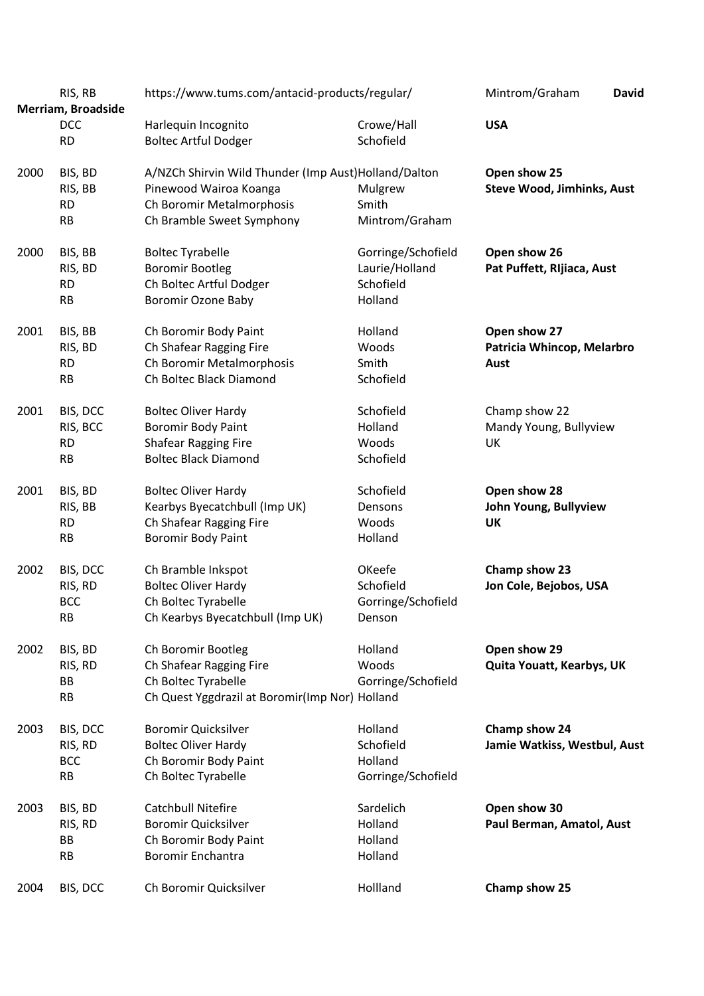|      | RIS, RB<br>Merriam, Broadside                  | https://www.tums.com/antacid-products/regular/                                                                                           | Mintrom/Graham<br><b>David</b>                               |                                                    |
|------|------------------------------------------------|------------------------------------------------------------------------------------------------------------------------------------------|--------------------------------------------------------------|----------------------------------------------------|
|      | <b>DCC</b><br><b>RD</b>                        | Harlequin Incognito<br><b>Boltec Artful Dodger</b>                                                                                       | Crowe/Hall<br>Schofield                                      | <b>USA</b>                                         |
| 2000 | BIS, BD<br>RIS, BB<br><b>RD</b><br><b>RB</b>   | A/NZCh Shirvin Wild Thunder (Imp Aust)Holland/Dalton<br>Pinewood Wairoa Koanga<br>Ch Boromir Metalmorphosis<br>Ch Bramble Sweet Symphony | Mulgrew<br>Smith<br>Mintrom/Graham                           | Open show 25<br><b>Steve Wood, Jimhinks, Aust</b>  |
| 2000 | BIS, BB<br>RIS, BD<br><b>RD</b><br>RB          | <b>Boltec Tyrabelle</b><br><b>Boromir Bootleg</b><br>Ch Boltec Artful Dodger<br><b>Boromir Ozone Baby</b>                                | Gorringe/Schofield<br>Laurie/Holland<br>Schofield<br>Holland | Open show 26<br>Pat Puffett, Rijiaca, Aust         |
| 2001 | BIS, BB<br>RIS, BD<br><b>RD</b><br><b>RB</b>   | Ch Boromir Body Paint<br>Ch Shafear Ragging Fire<br>Ch Boromir Metalmorphosis<br>Ch Boltec Black Diamond                                 | Holland<br>Woods<br>Smith<br>Schofield                       | Open show 27<br>Patricia Whincop, Melarbro<br>Aust |
| 2001 | BIS, DCC<br>RIS, BCC<br><b>RD</b><br><b>RB</b> | <b>Boltec Oliver Hardy</b><br>Boromir Body Paint<br><b>Shafear Ragging Fire</b><br><b>Boltec Black Diamond</b>                           | Schofield<br>Holland<br>Woods<br>Schofield                   | Champ show 22<br>Mandy Young, Bullyview<br>UK      |
| 2001 | BIS, BD<br>RIS, BB<br><b>RD</b><br><b>RB</b>   | <b>Boltec Oliver Hardy</b><br>Kearbys Byecatchbull (Imp UK)<br>Ch Shafear Ragging Fire<br>Boromir Body Paint                             | Schofield<br>Densons<br>Woods<br>Holland                     | Open show 28<br>John Young, Bullyview<br>UK        |
| 2002 | BIS, DCC<br>RIS, RD<br><b>BCC</b><br>RB        | Ch Bramble Inkspot<br><b>Boltec Oliver Hardy</b><br>Ch Boltec Tyrabelle<br>Ch Kearbys Byecatchbull (Imp UK)                              | OKeefe<br>Schofield<br>Gorringe/Schofield<br>Denson          | Champ show 23<br>Jon Cole, Bejobos, USA            |
| 2002 | BIS, BD<br>RIS, RD<br>BB<br><b>RB</b>          | Ch Boromir Bootleg<br>Ch Shafear Ragging Fire<br>Ch Boltec Tyrabelle<br>Ch Quest Yggdrazil at Boromir(Imp Nor) Holland                   | Holland<br>Woods<br>Gorringe/Schofield                       | Open show 29<br>Quita Youatt, Kearbys, UK          |
| 2003 | BIS, DCC<br>RIS, RD<br><b>BCC</b><br><b>RB</b> | <b>Boromir Quicksilver</b><br><b>Boltec Oliver Hardy</b><br>Ch Boromir Body Paint<br>Ch Boltec Tyrabelle                                 | Holland<br>Schofield<br>Holland<br>Gorringe/Schofield        | Champ show 24<br>Jamie Watkiss, Westbul, Aust      |
| 2003 | BIS, BD<br>RIS, RD<br>BB<br><b>RB</b>          | <b>Catchbull Nitefire</b><br><b>Boromir Quicksilver</b><br>Ch Boromir Body Paint<br><b>Boromir Enchantra</b>                             | Sardelich<br>Holland<br>Holland<br>Holland                   | Open show 30<br>Paul Berman, Amatol, Aust          |
| 2004 | BIS, DCC                                       | Ch Boromir Quicksilver                                                                                                                   | Hollland                                                     | Champ show 25                                      |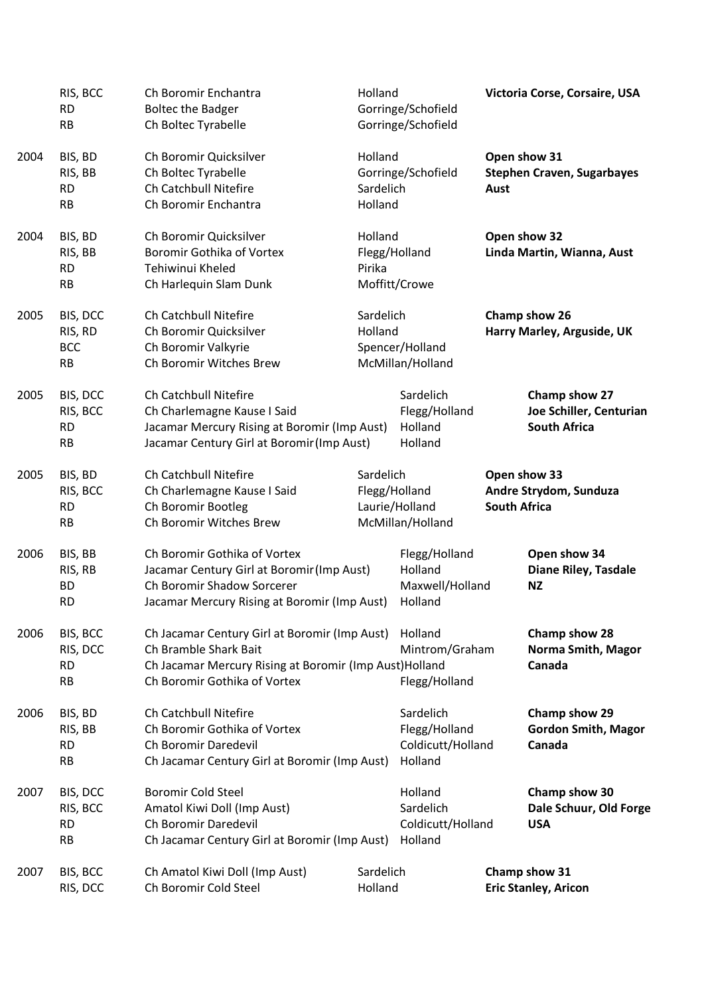|      | RIS, BCC<br><b>RD</b><br><b>RB</b>             | Ch Boromir Enchantra<br><b>Boltec the Badger</b><br>Ch Boltec Tyrabelle                                                                                           | Holland<br>Gorringe/Schofield<br>Gorringe/Schofield              |                                                            |                     | Victoria Corse, Corsaire, USA                                   |
|------|------------------------------------------------|-------------------------------------------------------------------------------------------------------------------------------------------------------------------|------------------------------------------------------------------|------------------------------------------------------------|---------------------|-----------------------------------------------------------------|
| 2004 | BIS, BD<br>RIS, BB<br><b>RD</b><br><b>RB</b>   | Ch Boromir Quicksilver<br>Ch Boltec Tyrabelle<br>Ch Catchbull Nitefire<br>Ch Boromir Enchantra                                                                    | Holland<br>Sardelich<br>Holland                                  | Gorringe/Schofield                                         | Aust                | Open show 31<br><b>Stephen Craven, Sugarbayes</b>               |
| 2004 | BIS, BD<br>RIS, BB<br><b>RD</b><br>RB          | Ch Boromir Quicksilver<br><b>Boromir Gothika of Vortex</b><br>Tehiwinui Kheled<br>Ch Harlequin Slam Dunk                                                          | Holland<br>Pirika                                                | Flegg/Holland<br>Moffitt/Crowe                             |                     | Open show 32<br>Linda Martin, Wianna, Aust                      |
| 2005 | BIS, DCC<br>RIS, RD<br><b>BCC</b><br><b>RB</b> | Ch Catchbull Nitefire<br>Ch Boromir Quicksilver<br>Ch Boromir Valkyrie<br>Ch Boromir Witches Brew                                                                 | Sardelich<br>Holland                                             | Spencer/Holland<br>McMillan/Holland                        |                     | Champ show 26<br>Harry Marley, Arguside, UK                     |
| 2005 | BIS, DCC<br>RIS, BCC<br><b>RD</b><br><b>RB</b> | Ch Catchbull Nitefire<br>Ch Charlemagne Kause I Said<br>Jacamar Mercury Rising at Boromir (Imp Aust)<br>Jacamar Century Girl at Boromir (Imp Aust)                |                                                                  | Sardelich<br>Flegg/Holland<br>Holland<br>Holland           |                     | Champ show 27<br>Joe Schiller, Centurian<br><b>South Africa</b> |
| 2005 | BIS, BD<br>RIS, BCC<br><b>RD</b><br><b>RB</b>  | Ch Catchbull Nitefire<br>Ch Charlemagne Kause I Said<br>Ch Boromir Bootleg<br>Ch Boromir Witches Brew                                                             | Sardelich<br>Flegg/Holland<br>Laurie/Holland<br>McMillan/Holland |                                                            | <b>South Africa</b> | Open show 33<br>Andre Strydom, Sunduza                          |
| 2006 | BIS, BB<br>RIS, RB<br><b>BD</b><br><b>RD</b>   | Ch Boromir Gothika of Vortex<br>Jacamar Century Girl at Boromir (Imp Aust)<br>Ch Boromir Shadow Sorcerer<br>Jacamar Mercury Rising at Boromir (Imp Aust)          |                                                                  | Flegg/Holland<br>Holland<br>Maxwell/Holland<br>Holland     |                     | Open show 34<br>Diane Riley, Tasdale<br><b>NZ</b>               |
| 2006 | BIS, BCC<br>RIS, DCC<br><b>RD</b><br><b>RB</b> | Ch Jacamar Century Girl at Boromir (Imp Aust)<br>Ch Bramble Shark Bait<br>Ch Jacamar Mercury Rising at Boromir (Imp Aust) Holland<br>Ch Boromir Gothika of Vortex | Holland<br>Mintrom/Graham<br>Flegg/Holland                       |                                                            |                     | Champ show 28<br>Norma Smith, Magor<br>Canada                   |
| 2006 | BIS, BD<br>RIS, BB<br><b>RD</b><br><b>RB</b>   | Ch Catchbull Nitefire<br>Ch Boromir Gothika of Vortex<br>Ch Boromir Daredevil<br>Ch Jacamar Century Girl at Boromir (Imp Aust)                                    |                                                                  | Sardelich<br>Flegg/Holland<br>Coldicutt/Holland<br>Holland |                     | Champ show 29<br><b>Gordon Smith, Magor</b><br>Canada           |
| 2007 | BIS, DCC<br>RIS, BCC<br><b>RD</b><br><b>RB</b> | <b>Boromir Cold Steel</b><br>Amatol Kiwi Doll (Imp Aust)<br>Ch Boromir Daredevil<br>Ch Jacamar Century Girl at Boromir (Imp Aust)                                 |                                                                  | Holland<br>Sardelich<br>Coldicutt/Holland<br>Holland       |                     | Champ show 30<br>Dale Schuur, Old Forge<br><b>USA</b>           |
| 2007 | BIS, BCC<br>RIS, DCC                           | Ch Amatol Kiwi Doll (Imp Aust)<br>Ch Boromir Cold Steel                                                                                                           | Sardelich<br>Holland                                             |                                                            |                     | Champ show 31<br><b>Eric Stanley, Aricon</b>                    |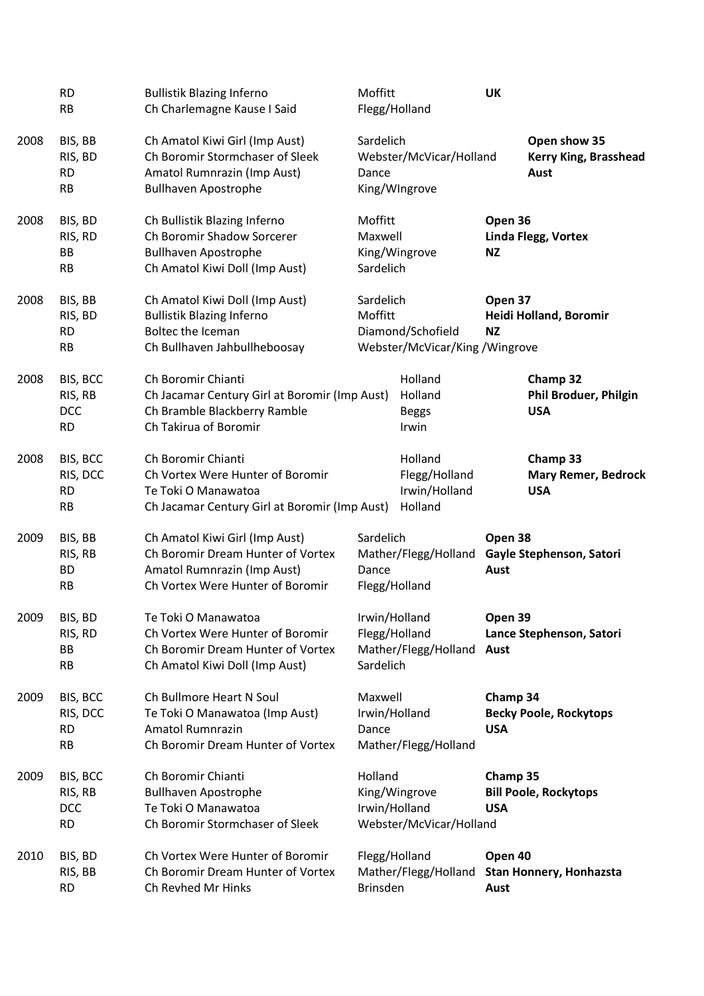|      | <b>RD</b><br><b>RB</b>                         | <b>Bullistik Blazing Inferno</b><br>Ch Charlemagne Kause I Said                                                                        | Moffitt<br>Flegg/Holland                                                    |                                                      | UK                     |                                                        |
|------|------------------------------------------------|----------------------------------------------------------------------------------------------------------------------------------------|-----------------------------------------------------------------------------|------------------------------------------------------|------------------------|--------------------------------------------------------|
| 2008 | BIS, BB<br>RIS, BD<br><b>RD</b><br><b>RB</b>   | Ch Amatol Kiwi Girl (Imp Aust)<br>Ch Boromir Stormchaser of Sleek<br>Amatol Rumnrazin (Imp Aust)<br><b>Bullhaven Apostrophe</b>        | Sardelich<br>Dance                                                          | Webster/McVicar/Holland<br>King/WIngrove             |                        | Open show 35<br>Kerry King, Brasshead<br>Aust          |
| 2008 | BIS, BD<br>RIS, RD<br>BB<br><b>RB</b>          | Ch Bullistik Blazing Inferno<br>Ch Boromir Shadow Sorcerer<br><b>Bullhaven Apostrophe</b><br>Ch Amatol Kiwi Doll (Imp Aust)            | Moffitt<br>Maxwell<br>Sardelich                                             | King/Wingrove                                        | Open 36<br><b>NZ</b>   | Linda Flegg, Vortex                                    |
| 2008 | BIS, BB<br>RIS, BD<br><b>RD</b><br><b>RB</b>   | Ch Amatol Kiwi Doll (Imp Aust)<br><b>Bullistik Blazing Inferno</b><br>Boltec the Iceman<br>Ch Bullhaven Jahbullheboosay                | Sardelich<br>Moffitt<br>Diamond/Schofield<br>Webster/McVicar/King /Wingrove |                                                      | Open 37<br><b>NZ</b>   | Heidi Holland, Boromir                                 |
| 2008 | BIS, BCC<br>RIS, RB<br><b>DCC</b><br><b>RD</b> | Ch Boromir Chianti<br>Ch Jacamar Century Girl at Boromir (Imp Aust)<br>Ch Bramble Blackberry Ramble<br>Ch Takirua of Boromir           |                                                                             | Holland<br>Holland<br><b>Beggs</b><br>Irwin          |                        | Champ 32<br><b>Phil Broduer, Philgin</b><br><b>USA</b> |
| 2008 | BIS, BCC<br>RIS, DCC<br><b>RD</b><br><b>RB</b> | Ch Boromir Chianti<br>Ch Vortex Were Hunter of Boromir<br>Te Toki O Manawatoa<br>Ch Jacamar Century Girl at Boromir (Imp Aust)         |                                                                             | Holland<br>Flegg/Holland<br>Irwin/Holland<br>Holland |                        | Champ 33<br><b>Mary Remer, Bedrock</b><br><b>USA</b>   |
| 2009 | BIS, BB<br>RIS, RB<br><b>BD</b><br><b>RB</b>   | Ch Amatol Kiwi Girl (Imp Aust)<br>Ch Boromir Dream Hunter of Vortex<br>Amatol Rumnrazin (Imp Aust)<br>Ch Vortex Were Hunter of Boromir | Sardelich<br>Mather/Flegg/Holland<br>Dance<br>Flegg/Holland                 |                                                      | Open 38<br>Aust        | Gayle Stephenson, Satori                               |
| 2009 | BIS, BD<br>RIS, RD<br>BB<br><b>RB</b>          | Te Toki O Manawatoa<br>Ch Vortex Were Hunter of Boromir<br>Ch Boromir Dream Hunter of Vortex<br>Ch Amatol Kiwi Doll (Imp Aust)         | Irwin/Holland<br>Flegg/Holland<br>Mather/Flegg/Holland<br>Sardelich         |                                                      | Open 39<br>Aust        | Lance Stephenson, Satori                               |
| 2009 | BIS, BCC<br>RIS, DCC<br><b>RD</b><br><b>RB</b> | Ch Bullmore Heart N Soul<br>Te Toki O Manawatoa (Imp Aust)<br><b>Amatol Rumnrazin</b><br>Ch Boromir Dream Hunter of Vortex             | Maxwell<br>Irwin/Holland<br>Dance                                           | Mather/Flegg/Holland                                 | Champ 34<br><b>USA</b> | <b>Becky Poole, Rockytops</b>                          |
| 2009 | BIS, BCC<br>RIS, RB<br>DCC<br><b>RD</b>        | Ch Boromir Chianti<br><b>Bullhaven Apostrophe</b><br>Te Toki O Manawatoa<br>Ch Boromir Stormchaser of Sleek                            | Holland<br>Irwin/Holland                                                    | King/Wingrove<br>Webster/McVicar/Holland             | Champ 35<br><b>USA</b> | <b>Bill Poole, Rockytops</b>                           |
| 2010 | BIS, BD<br>RIS, BB<br><b>RD</b>                | Ch Vortex Were Hunter of Boromir<br>Ch Boromir Dream Hunter of Vortex<br>Ch Revhed Mr Hinks                                            | Flegg/Holland<br><b>Brinsden</b>                                            | Mather/Flegg/Holland                                 | Open 40<br>Aust        | Stan Honnery, Honhazsta                                |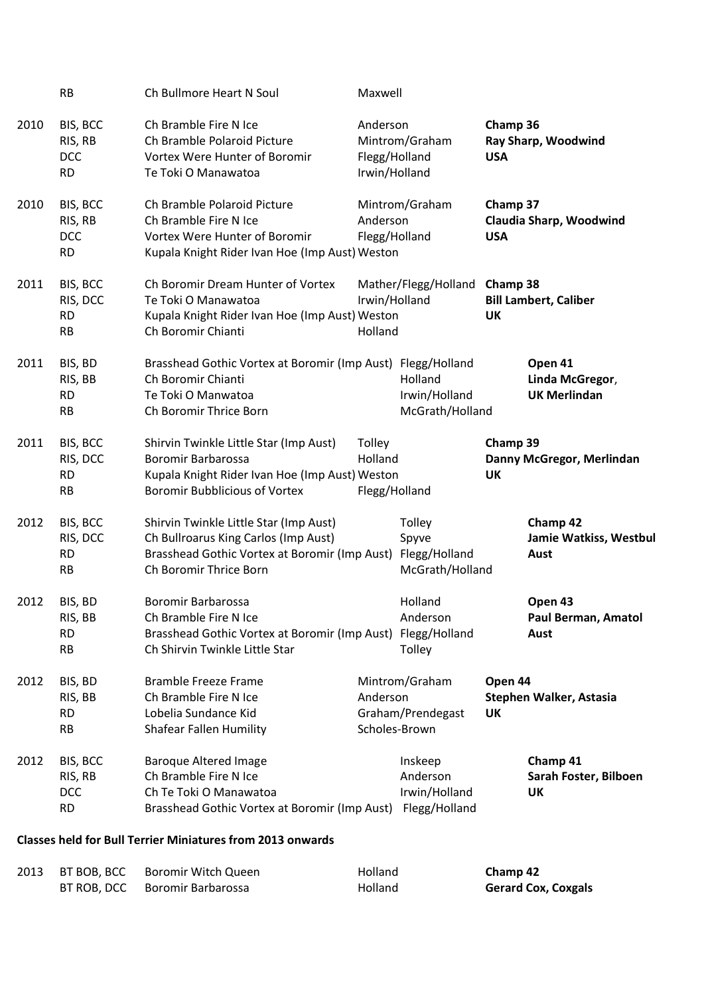|      | <b>RB</b>                                      | Ch Bullmore Heart N Soul                                                                                                                                  | Maxwell                                    |                                                       |                        |                                                   |
|------|------------------------------------------------|-----------------------------------------------------------------------------------------------------------------------------------------------------------|--------------------------------------------|-------------------------------------------------------|------------------------|---------------------------------------------------|
| 2010 | BIS, BCC<br>RIS, RB<br><b>DCC</b><br><b>RD</b> | Ch Bramble Fire N Ice<br>Ch Bramble Polaroid Picture<br>Vortex Were Hunter of Boromir<br>Te Toki O Manawatoa                                              | Anderson<br>Flegg/Holland<br>Irwin/Holland | Mintrom/Graham                                        | Champ 36<br><b>USA</b> | Ray Sharp, Woodwind                               |
| 2010 | BIS, BCC<br>RIS, RB<br><b>DCC</b><br><b>RD</b> | Ch Bramble Polaroid Picture<br>Ch Bramble Fire N Ice<br>Vortex Were Hunter of Boromir<br>Kupala Knight Rider Ivan Hoe (Imp Aust) Weston                   | Anderson<br>Flegg/Holland                  | Mintrom/Graham                                        | Champ 37<br><b>USA</b> | Claudia Sharp, Woodwind                           |
| 2011 | BIS, BCC<br>RIS, DCC<br><b>RD</b><br><b>RB</b> | Ch Boromir Dream Hunter of Vortex<br>Te Toki O Manawatoa<br>Kupala Knight Rider Ivan Hoe (Imp Aust) Weston<br>Ch Boromir Chianti                          | Irwin/Holland<br>Holland                   | Mather/Flegg/Holland Champ 38                         | <b>UK</b>              | <b>Bill Lambert, Caliber</b>                      |
| 2011 | BIS, BD<br>RIS, BB<br><b>RD</b><br><b>RB</b>   | Brasshead Gothic Vortex at Boromir (Imp Aust) Flegg/Holland<br>Ch Boromir Chianti<br>Te Toki O Manwatoa<br>Ch Boromir Thrice Born                         |                                            | Holland<br>Irwin/Holland<br>McGrath/Holland           |                        | Open 41<br>Linda McGregor,<br><b>UK Merlindan</b> |
| 2011 | BIS, BCC<br>RIS, DCC<br><b>RD</b><br><b>RB</b> | Shirvin Twinkle Little Star (Imp Aust)<br>Boromir Barbarossa<br>Kupala Knight Rider Ivan Hoe (Imp Aust) Weston<br><b>Boromir Bubblicious of Vortex</b>    | Tolley<br>Holland<br>Flegg/Holland         |                                                       | Champ 39<br>UK         | Danny McGregor, Merlindan                         |
| 2012 | BIS, BCC<br>RIS, DCC<br><b>RD</b><br><b>RB</b> | Shirvin Twinkle Little Star (Imp Aust)<br>Ch Bullroarus King Carlos (Imp Aust)<br>Brasshead Gothic Vortex at Boromir (Imp Aust)<br>Ch Boromir Thrice Born |                                            | Tolley<br>Spyve<br>Flegg/Holland<br>McGrath/Holland   |                        | Champ 42<br>Jamie Watkiss, Westbul<br>Aust        |
| 2012 | BIS, BD<br>RIS, BB<br><b>RD</b><br>RB          | <b>Boromir Barbarossa</b><br>Ch Bramble Fire N Ice<br>Brasshead Gothic Vortex at Boromir (Imp Aust)<br>Ch Shirvin Twinkle Little Star                     |                                            | Holland<br>Anderson<br>Flegg/Holland<br>Tolley        |                        | Open 43<br>Paul Berman, Amatol<br>Aust            |
| 2012 | BIS, BD<br>RIS, BB<br><b>RD</b><br><b>RB</b>   | <b>Bramble Freeze Frame</b><br>Ch Bramble Fire N Ice<br>Lobelia Sundance Kid<br><b>Shafear Fallen Humility</b>                                            | Anderson                                   | Mintrom/Graham<br>Graham/Prendegast<br>Scholes-Brown  | Open 44<br>UK          | <b>Stephen Walker, Astasia</b>                    |
| 2012 | BIS, BCC<br>RIS, RB<br><b>DCC</b><br><b>RD</b> | <b>Baroque Altered Image</b><br>Ch Bramble Fire N Ice<br>Ch Te Toki O Manawatoa<br>Brasshead Gothic Vortex at Boromir (Imp Aust)                          |                                            | Inskeep<br>Anderson<br>Irwin/Holland<br>Flegg/Holland |                        | Champ 41<br>Sarah Foster, Bilboen<br><b>UK</b>    |

## **Classes held for Bull Terrier Miniatures from 2013 onwards**

| 2013 | BT BOB, BCC Boromir Witch Queen | <b>Holland</b> | Champ 42                   |
|------|---------------------------------|----------------|----------------------------|
|      | BT ROB, DCC Boromir Barbarossa  | <b>Holland</b> | <b>Gerard Cox, Coxgals</b> |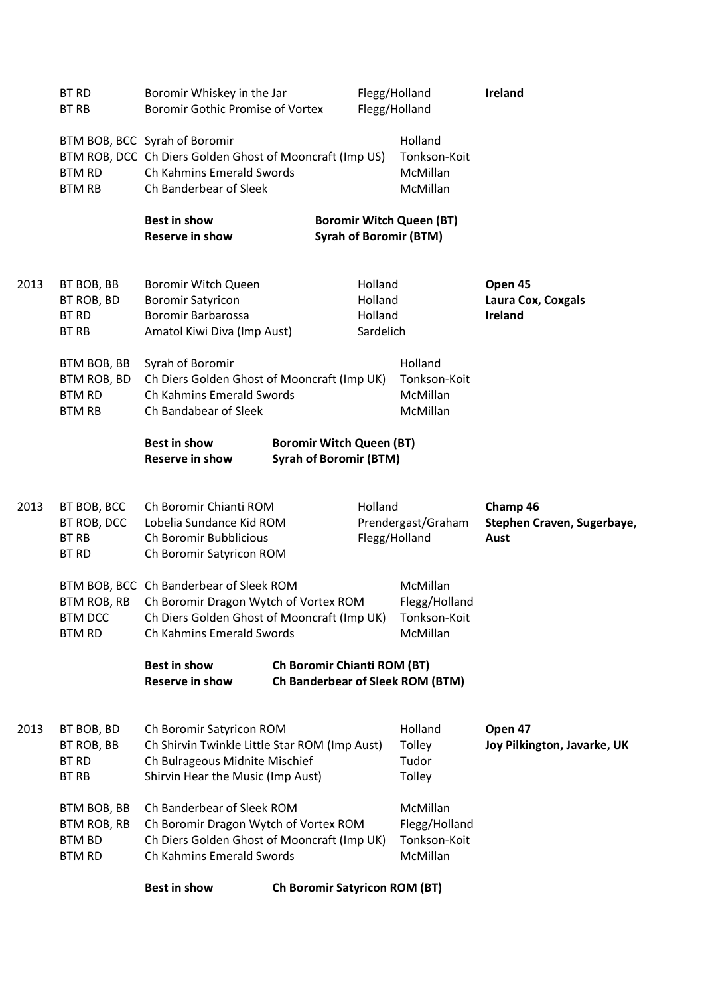|      | <b>BT RD</b><br><b>BT RB</b>                                 | Boromir Whiskey in the Jar<br><b>Boromir Gothic Promise of Vortex</b>                                                                                        |  |                                                                  | Flegg/Holland<br>Flegg/Holland |                                                       | Ireland                                        |
|------|--------------------------------------------------------------|--------------------------------------------------------------------------------------------------------------------------------------------------------------|--|------------------------------------------------------------------|--------------------------------|-------------------------------------------------------|------------------------------------------------|
|      | <b>BTM RD</b><br><b>BTM RB</b>                               | BTM BOB, BCC Syrah of Boromir<br>BTM ROB, DCC Ch Diers Golden Ghost of Mooncraft (Imp US)<br>Ch Kahmins Emerald Swords<br>Ch Banderbear of Sleek             |  |                                                                  |                                | Holland<br>Tonkson-Koit<br>McMillan<br>McMillan       |                                                |
|      |                                                              | <b>Best in show</b><br><b>Reserve in show</b>                                                                                                                |  | <b>Boromir Witch Queen (BT)</b><br><b>Syrah of Boromir (BTM)</b> |                                |                                                       |                                                |
| 2013 | BT BOB, BB<br>BT ROB, BD<br><b>BT RD</b><br><b>BT RB</b>     | <b>Boromir Witch Queen</b><br><b>Boromir Satyricon</b><br><b>Boromir Barbarossa</b><br>Amatol Kiwi Diva (Imp Aust)                                           |  | Holland<br>Holland<br>Holland<br>Sardelich                       |                                |                                                       | Open 45<br>Laura Cox, Coxgals<br>Ireland       |
|      | BTM BOB, BB<br>BTM ROB, BD<br><b>BTM RD</b><br><b>BTM RB</b> | Syrah of Boromir<br>Ch Diers Golden Ghost of Mooncraft (Imp UK)<br>Ch Kahmins Emerald Swords<br>Ch Bandabear of Sleek                                        |  |                                                                  |                                | Holland<br>Tonkson-Koit<br>McMillan<br>McMillan       |                                                |
|      |                                                              | <b>Best in show</b><br><b>Reserve in show</b>                                                                                                                |  | <b>Boromir Witch Queen (BT)</b><br><b>Syrah of Boromir (BTM)</b> |                                |                                                       |                                                |
| 2013 | BT BOB, BCC<br>BT ROB, DCC<br><b>BT RB</b><br><b>BT RD</b>   | Ch Boromir Chianti ROM<br>Lobelia Sundance Kid ROM<br>Ch Boromir Bubblicious<br>Ch Boromir Satyricon ROM                                                     |  | Holland                                                          |                                | Prendergast/Graham<br>Flegg/Holland                   | Champ 46<br>Stephen Craven, Sugerbaye,<br>Aust |
|      | BTM ROB, RB<br><b>BTM DCC</b><br><b>BTM RD</b>               | BTM BOB, BCC Ch Banderbear of Sleek ROM<br>Ch Boromir Dragon Wytch of Vortex ROM<br>Ch Diers Golden Ghost of Mooncraft (Imp UK)<br>Ch Kahmins Emerald Swords |  |                                                                  |                                | McMillan<br>Flegg/Holland<br>Tonkson-Koit<br>McMillan |                                                |
|      |                                                              | <b>Best in show</b><br><b>Reserve in show</b>                                                                                                                |  | <b>Ch Boromir Chianti ROM (BT)</b>                               |                                | <b>Ch Banderbear of Sleek ROM (BTM)</b>               |                                                |
| 2013 | BT BOB, BD<br>BT ROB, BB<br><b>BT RD</b><br><b>BT RB</b>     | Ch Boromir Satyricon ROM<br>Ch Shirvin Twinkle Little Star ROM (Imp Aust)<br>Ch Bulrageous Midnite Mischief<br>Shirvin Hear the Music (Imp Aust)             |  |                                                                  |                                | Holland<br>Tolley<br>Tudor<br>Tolley                  | Open 47<br>Joy Pilkington, Javarke, UK         |
|      | BTM BOB, BB<br><b>BTM ROB, RB</b><br>BTM BD<br><b>BTM RD</b> | Ch Banderbear of Sleek ROM<br>Ch Boromir Dragon Wytch of Vortex ROM<br>Ch Diers Golden Ghost of Mooncraft (Imp UK)<br>Ch Kahmins Emerald Swords              |  |                                                                  |                                | McMillan<br>Flegg/Holland<br>Tonkson-Koit<br>McMillan |                                                |
|      |                                                              | <b>Best in show</b>                                                                                                                                          |  | <b>Ch Boromir Satyricon ROM (BT)</b>                             |                                |                                                       |                                                |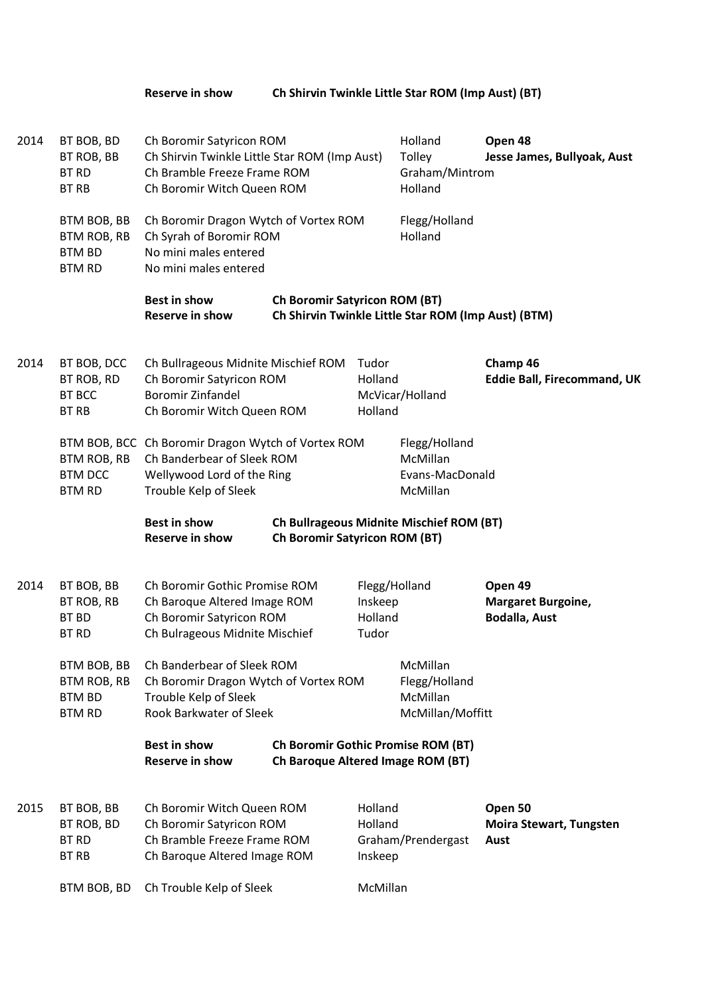**Reserve in show Ch Shirvin Twinkle Little Star ROM (Imp Aust) (BT)**

| 2014<br>BT BOB, BD<br>BT ROB, BB<br><b>BT RD</b><br><b>BT RB</b> |                                                                     | Ch Boromir Satyricon ROM<br>Ch Shirvin Twinkle Little Star ROM (Imp Aust)<br>Ch Bramble Freeze Frame ROM<br>Ch Boromir Witch Queen ROM  |                                      |                               | Holland<br>Tolley<br>Graham/Mintrom<br>Holland            | Open 48<br>Jesse James, Bullyoak, Aust                       |
|------------------------------------------------------------------|---------------------------------------------------------------------|-----------------------------------------------------------------------------------------------------------------------------------------|--------------------------------------|-------------------------------|-----------------------------------------------------------|--------------------------------------------------------------|
|                                                                  | BTM BOB, BB<br>BTM ROB, RB<br><b>BTM BD</b><br><b>BTM RD</b>        | Ch Boromir Dragon Wytch of Vortex ROM<br>Ch Syrah of Boromir ROM<br>No mini males entered<br>No mini males entered                      |                                      |                               | Flegg/Holland<br>Holland                                  |                                                              |
|                                                                  |                                                                     | <b>Best in show</b><br><b>Reserve in show</b>                                                                                           | <b>Ch Boromir Satyricon ROM (BT)</b> |                               | Ch Shirvin Twinkle Little Star ROM (Imp Aust) (BTM)       |                                                              |
| 2014                                                             | BT BOB, DCC<br>BT ROB, RD<br><b>BT BCC</b><br><b>BT RB</b>          | Ch Bullrageous Midnite Mischief ROM<br>Ch Boromir Satyricon ROM<br><b>Boromir Zinfandel</b><br>Ch Boromir Witch Queen ROM               |                                      | Tudor<br>Holland<br>Holland   | McVicar/Holland                                           | Champ 46<br><b>Eddie Ball, Firecommand, UK</b>               |
|                                                                  | BTM ROB, RB<br><b>BTM DCC</b><br><b>BTM RD</b>                      | BTM BOB, BCC Ch Boromir Dragon Wytch of Vortex ROM<br>Ch Banderbear of Sleek ROM<br>Wellywood Lord of the Ring<br>Trouble Kelp of Sleek |                                      |                               | Flegg/Holland<br>McMillan<br>Evans-MacDonald<br>McMillan  |                                                              |
|                                                                  |                                                                     | <b>Best in show</b><br><b>Reserve in show</b>                                                                                           | <b>Ch Boromir Satyricon ROM (BT)</b> |                               | Ch Bullrageous Midnite Mischief ROM (BT)                  |                                                              |
| 2014                                                             | BT BOB, BB<br>BT ROB, RB<br><b>BT BD</b><br><b>BT RD</b>            | Ch Boromir Gothic Promise ROM<br>Ch Baroque Altered Image ROM<br>Ch Boromir Satyricon ROM<br>Ch Bulrageous Midnite Mischief             |                                      | Inskeep<br>Holland<br>Tudor   | Flegg/Holland                                             | Open 49<br><b>Margaret Burgoine,</b><br><b>Bodalla, Aust</b> |
|                                                                  | BTM BOB, BB<br><b>BTM ROB, RB</b><br><b>BTM BD</b><br><b>BTM RD</b> | Ch Banderbear of Sleek ROM<br>Ch Boromir Dragon Wytch of Vortex ROM<br>Trouble Kelp of Sleek<br><b>Rook Barkwater of Sleek</b>          |                                      |                               | McMillan<br>Flegg/Holland<br>McMillan<br>McMillan/Moffitt |                                                              |
|                                                                  |                                                                     | <b>Best in show</b><br><b>Reserve in show</b>                                                                                           | Ch Baroque Altered Image ROM (BT)    |                               | Ch Boromir Gothic Promise ROM (BT)                        |                                                              |
| 2015                                                             | BT BOB, BB<br>BT ROB, BD<br><b>BT RD</b><br><b>BT RB</b>            | Ch Boromir Witch Queen ROM<br>Ch Boromir Satyricon ROM<br>Ch Bramble Freeze Frame ROM<br>Ch Baroque Altered Image ROM                   |                                      | Holland<br>Holland<br>Inskeep | Graham/Prendergast                                        | Open 50<br><b>Moira Stewart, Tungsten</b><br>Aust            |
|                                                                  | BTM BOB, BD                                                         | Ch Trouble Kelp of Sleek                                                                                                                |                                      | McMillan                      |                                                           |                                                              |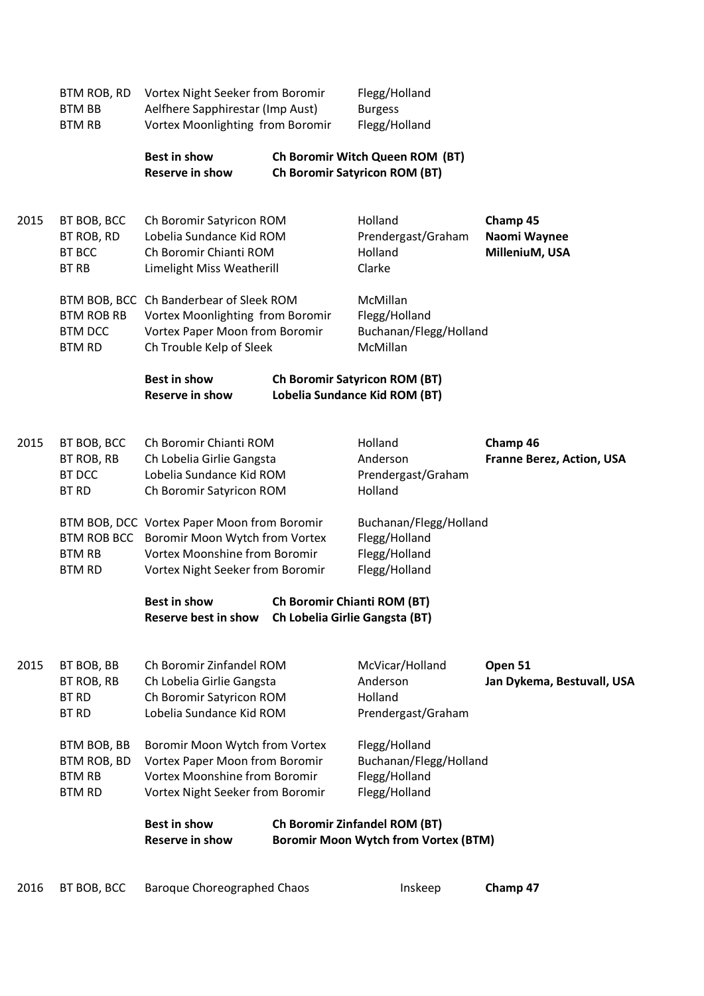|      | BTM ROB, RD<br><b>BTM BB</b><br><b>BTM RB</b>                       | Vortex Night Seeker from Boromir<br>Aelfhere Sapphirestar (Imp Aust)<br>Vortex Moonlighting from Boromir                                                       |  | Flegg/Holland<br><b>Burgess</b><br>Flegg/Holland                                    |                                              |
|------|---------------------------------------------------------------------|----------------------------------------------------------------------------------------------------------------------------------------------------------------|--|-------------------------------------------------------------------------------------|----------------------------------------------|
|      |                                                                     | <b>Best in show</b><br><b>Reserve in show</b>                                                                                                                  |  | Ch Boromir Witch Queen ROM (BT)<br><b>Ch Boromir Satyricon ROM (BT)</b>             |                                              |
| 2015 | BT BOB, BCC<br>BT ROB, RD<br><b>BT BCC</b><br><b>BT RB</b>          | Ch Boromir Satyricon ROM<br>Lobelia Sundance Kid ROM<br>Ch Boromir Chianti ROM<br>Limelight Miss Weatherill                                                    |  | Holland<br>Prendergast/Graham<br>Holland<br>Clarke                                  | Champ 45<br>Naomi Waynee<br>MilleniuM, USA   |
|      | <b>BTM ROB RB</b><br><b>BTM DCC</b><br><b>BTM RD</b>                | BTM BOB, BCC Ch Banderbear of Sleek ROM<br>Vortex Moonlighting from Boromir<br>Vortex Paper Moon from Boromir<br>Ch Trouble Kelp of Sleek                      |  | McMillan<br>Flegg/Holland<br>Buchanan/Flegg/Holland<br>McMillan                     |                                              |
|      |                                                                     | <b>Best in show</b><br><b>Reserve in show</b>                                                                                                                  |  | <b>Ch Boromir Satyricon ROM (BT)</b><br>Lobelia Sundance Kid ROM (BT)               |                                              |
| 2015 | BT BOB, BCC<br>BT ROB, RB<br><b>BT DCC</b><br><b>BT RD</b>          | Ch Boromir Chianti ROM<br>Ch Lobelia Girlie Gangsta<br>Lobelia Sundance Kid ROM<br>Ch Boromir Satyricon ROM                                                    |  | Holland<br>Anderson<br>Prendergast/Graham<br>Holland                                | Champ 46<br><b>Franne Berez, Action, USA</b> |
|      | <b>BTM RB</b><br><b>BTM RD</b>                                      | BTM BOB, DCC Vortex Paper Moon from Boromir<br>BTM ROB BCC Boromir Moon Wytch from Vortex<br>Vortex Moonshine from Boromir<br>Vortex Night Seeker from Boromir |  | Buchanan/Flegg/Holland<br>Flegg/Holland<br>Flegg/Holland<br>Flegg/Holland           |                                              |
|      |                                                                     | <b>Best in show</b><br>Reserve best in show                                                                                                                    |  | <b>Ch Boromir Chianti ROM (BT)</b><br><b>Ch Lobelia Girlie Gangsta (BT)</b>         |                                              |
| 2015 | BT BOB, BB<br>BT ROB, RB<br><b>BT RD</b><br><b>BT RD</b>            | Ch Boromir Zinfandel ROM<br>Ch Lobelia Girlie Gangsta<br>Ch Boromir Satyricon ROM<br>Lobelia Sundance Kid ROM                                                  |  | McVicar/Holland<br>Anderson<br>Holland<br>Prendergast/Graham                        | Open 51<br>Jan Dykema, Bestuvall, USA        |
|      | BTM BOB, BB<br><b>BTM ROB, BD</b><br><b>BTM RB</b><br><b>BTM RD</b> | Boromir Moon Wytch from Vortex<br>Vortex Paper Moon from Boromir<br><b>Vortex Moonshine from Boromir</b><br>Vortex Night Seeker from Boromir                   |  | Flegg/Holland<br>Buchanan/Flegg/Holland<br>Flegg/Holland<br>Flegg/Holland           |                                              |
|      |                                                                     | <b>Best in show</b><br><b>Reserve in show</b>                                                                                                                  |  | <b>Ch Boromir Zinfandel ROM (BT)</b><br><b>Boromir Moon Wytch from Vortex (BTM)</b> |                                              |
| 2016 | BT BOB, BCC                                                         | <b>Baroque Choreographed Chaos</b>                                                                                                                             |  | Inskeep                                                                             | Champ 47                                     |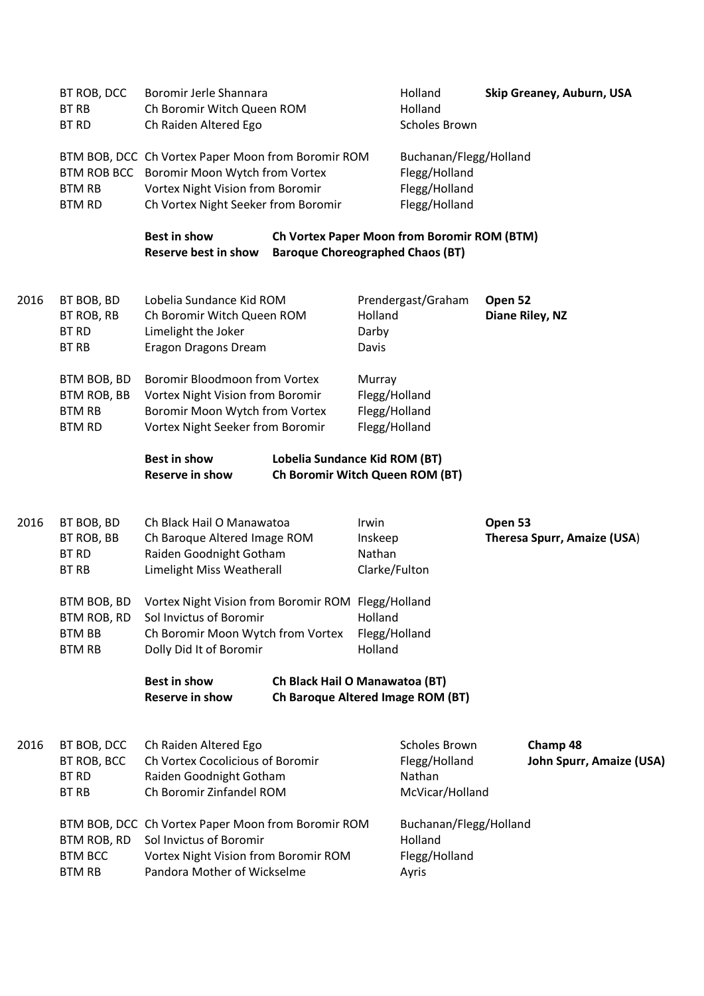|      | BT ROB, DCC<br><b>BT RB</b><br><b>BT RD</b>                         | Boromir Jerle Shannara<br>Ch Boromir Witch Queen ROM<br>Ch Raiden Altered Ego                                                                                               |                                                                     |                                                           | Holland<br>Holland<br><b>Scholes Brown</b>                                |         | Skip Greaney, Auburn, USA            |
|------|---------------------------------------------------------------------|-----------------------------------------------------------------------------------------------------------------------------------------------------------------------------|---------------------------------------------------------------------|-----------------------------------------------------------|---------------------------------------------------------------------------|---------|--------------------------------------|
|      | <b>BTM RB</b><br><b>BTM RD</b>                                      | BTM BOB, DCC Ch Vortex Paper Moon from Boromir ROM<br>BTM ROB BCC Boromir Moon Wytch from Vortex<br>Vortex Night Vision from Boromir<br>Ch Vortex Night Seeker from Boromir |                                                                     |                                                           | Buchanan/Flegg/Holland<br>Flegg/Holland<br>Flegg/Holland<br>Flegg/Holland |         |                                      |
|      |                                                                     | <b>Best in show</b><br><b>Reserve best in show</b>                                                                                                                          | <b>Baroque Choreographed Chaos (BT)</b>                             |                                                           | Ch Vortex Paper Moon from Boromir ROM (BTM)                               |         |                                      |
| 2016 | BT BOB, BD<br>BT ROB, RB<br><b>BT RD</b><br><b>BT RB</b>            | Lobelia Sundance Kid ROM<br>Ch Boromir Witch Queen ROM<br>Limelight the Joker<br><b>Eragon Dragons Dream</b>                                                                |                                                                     | Holland<br>Darby<br>Davis                                 | Prendergast/Graham                                                        | Open 52 | Diane Riley, NZ                      |
|      | BTM BOB, BD<br><b>BTM ROB, BB</b><br><b>BTM RB</b><br><b>BTM RD</b> | <b>Boromir Bloodmoon from Vortex</b><br>Vortex Night Vision from Boromir<br>Boromir Moon Wytch from Vortex<br>Vortex Night Seeker from Boromir                              |                                                                     | Murray<br>Flegg/Holland<br>Flegg/Holland<br>Flegg/Holland |                                                                           |         |                                      |
|      |                                                                     | <b>Best in show</b><br><b>Reserve in show</b>                                                                                                                               | Lobelia Sundance Kid ROM (BT)<br>Ch Boromir Witch Queen ROM (BT)    |                                                           |                                                                           |         |                                      |
| 2016 | BT BOB, BD<br>BT ROB, BB<br><b>BT RD</b><br>BT RB                   | Ch Black Hail O Manawatoa<br>Ch Baroque Altered Image ROM<br>Raiden Goodnight Gotham<br>Limelight Miss Weatherall                                                           |                                                                     | Irwin<br>Inskeep<br>Nathan<br>Clarke/Fulton               |                                                                           | Open 53 | Theresa Spurr, Amaize (USA)          |
|      | <b>BTM BB</b><br><b>BTM RB</b>                                      | BTM BOB, BD Vortex Night Vision from Boromir ROM Flegg/Holland<br>BTM ROB, RD Sol Invictus of Boromir<br>Ch Boromir Moon Wytch from Vortex<br>Dolly Did It of Boromir       |                                                                     | Holland<br>Flegg/Holland<br>Holland                       |                                                                           |         |                                      |
|      |                                                                     | <b>Best in show</b><br><b>Reserve in show</b>                                                                                                                               | Ch Black Hail O Manawatoa (BT)<br>Ch Baroque Altered Image ROM (BT) |                                                           |                                                                           |         |                                      |
| 2016 | BT BOB, DCC<br>BT ROB, BCC<br><b>BT RD</b><br><b>BT RB</b>          | Ch Raiden Altered Ego<br>Ch Vortex Cocolicious of Boromir<br>Raiden Goodnight Gotham<br>Ch Boromir Zinfandel ROM                                                            |                                                                     |                                                           | <b>Scholes Brown</b><br>Flegg/Holland<br>Nathan<br>McVicar/Holland        |         | Champ 48<br>John Spurr, Amaize (USA) |
|      | BTM ROB, RD<br><b>BTM BCC</b><br><b>BTM RB</b>                      | BTM BOB, DCC Ch Vortex Paper Moon from Boromir ROM<br>Sol Invictus of Boromir<br>Vortex Night Vision from Boromir ROM<br>Pandora Mother of Wickselme                        |                                                                     |                                                           | Buchanan/Flegg/Holland<br>Holland<br>Flegg/Holland<br>Ayris               |         |                                      |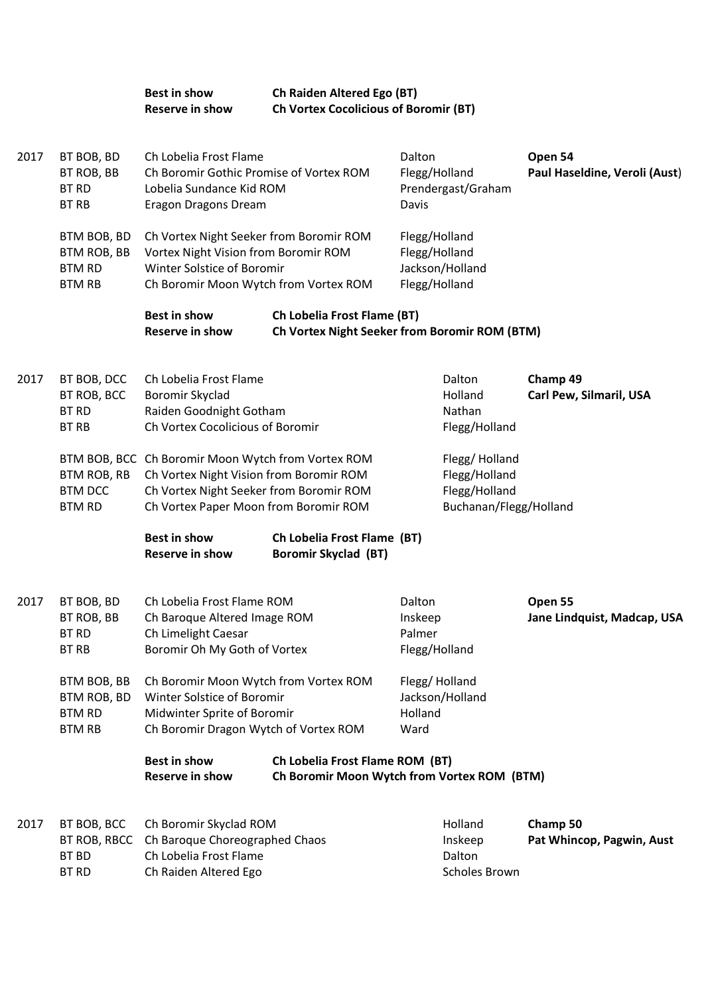## **Best in show Ch Raiden Altered Ego (BT)**<br> **Reserve in show Ch Vortex Cocolicious of Bo Reserve in show Ch Vortex Cocolicious of Boromir (BT)**

| 2017 | BT BOB, BD<br>BT ROB, BB<br><b>BT RD</b><br><b>BT RB</b>     | Ch Lobelia Frost Flame<br>Ch Boromir Gothic Promise of Vortex ROM<br>Lobelia Sundance Kid ROM<br>Eragon Dragons Dream                                                             |                                                                                     | Dalton<br>Flegg/Holland<br>Prendergast/Graham<br>Davis             |                                                                           | Open 54<br>Paul Haseldine, Veroli (Aust) |
|------|--------------------------------------------------------------|-----------------------------------------------------------------------------------------------------------------------------------------------------------------------------------|-------------------------------------------------------------------------------------|--------------------------------------------------------------------|---------------------------------------------------------------------------|------------------------------------------|
|      | BTM BOB, BD<br>BTM ROB, BB<br><b>BTM RD</b><br><b>BTM RB</b> | Ch Vortex Night Seeker from Boromir ROM<br>Vortex Night Vision from Boromir ROM<br>Winter Solstice of Boromir<br>Ch Boromir Moon Wytch from Vortex ROM                            |                                                                                     | Flegg/Holland<br>Flegg/Holland<br>Jackson/Holland<br>Flegg/Holland |                                                                           |                                          |
|      |                                                              | <b>Best in show</b><br><b>Reserve in show</b>                                                                                                                                     | <b>Ch Lobelia Frost Flame (BT)</b><br>Ch Vortex Night Seeker from Boromir ROM (BTM) |                                                                    |                                                                           |                                          |
| 2017 | BT BOB, DCC<br>BT ROB, BCC<br><b>BT RD</b><br><b>BT RB</b>   | Ch Lobelia Frost Flame<br>Boromir Skyclad<br>Raiden Goodnight Gotham<br>Ch Vortex Cocolicious of Boromir                                                                          |                                                                                     | Dalton<br>Holland<br>Nathan                                        | Flegg/Holland                                                             | Champ 49<br>Carl Pew, Silmaril, USA      |
|      | BTM ROB, RB<br><b>BTM DCC</b><br><b>BTM RD</b>               | BTM BOB, BCC Ch Boromir Moon Wytch from Vortex ROM<br>Ch Vortex Night Vision from Boromir ROM<br>Ch Vortex Night Seeker from Boromir ROM<br>Ch Vortex Paper Moon from Boromir ROM |                                                                                     |                                                                    | Flegg/Holland<br>Flegg/Holland<br>Flegg/Holland<br>Buchanan/Flegg/Holland |                                          |
|      |                                                              | <b>Best in show</b><br><b>Reserve in show</b>                                                                                                                                     | Ch Lobelia Frost Flame (BT)<br><b>Boromir Skyclad (BT)</b>                          |                                                                    |                                                                           |                                          |
| 2017 | BT BOB, BD<br>BT ROB, BB<br><b>BT RD</b><br><b>BT RB</b>     | Ch Lobelia Frost Flame ROM<br>Ch Baroque Altered Image ROM<br>Ch Limelight Caesar<br>Boromir Oh My Goth of Vortex                                                                 |                                                                                     | Dalton<br>Inskeep<br>Palmer<br>Flegg/Holland                       |                                                                           | Open 55<br>Jane Lindquist, Madcap, USA   |
|      | BTM BOB, BB<br>BTM ROB, BD<br><b>BTM RD</b><br><b>BTM RB</b> | Ch Boromir Moon Wytch from Vortex ROM<br>Winter Solstice of Boromir<br>Midwinter Sprite of Boromir<br>Ch Boromir Dragon Wytch of Vortex ROM                                       |                                                                                     | Flegg/Holland<br>Jackson/Holland<br>Holland<br>Ward                |                                                                           |                                          |
|      |                                                              | <b>Best in show</b><br><b>Reserve in show</b>                                                                                                                                     | Ch Lobelia Frost Flame ROM (BT)<br>Ch Boromir Moon Wytch from Vortex ROM (BTM)      |                                                                    |                                                                           |                                          |
| 2017 | BT BOB, BCC<br>BT ROB, RBCC<br>BT BD<br><b>BT RD</b>         | Ch Boromir Skyclad ROM<br>Ch Baroque Choreographed Chaos<br>Ch Lobelia Frost Flame<br>Ch Raiden Altered Ego                                                                       |                                                                                     | Holland<br>Inskeep<br>Dalton                                       | Scholes Brown                                                             | Champ 50<br>Pat Whincop, Pagwin, Aust    |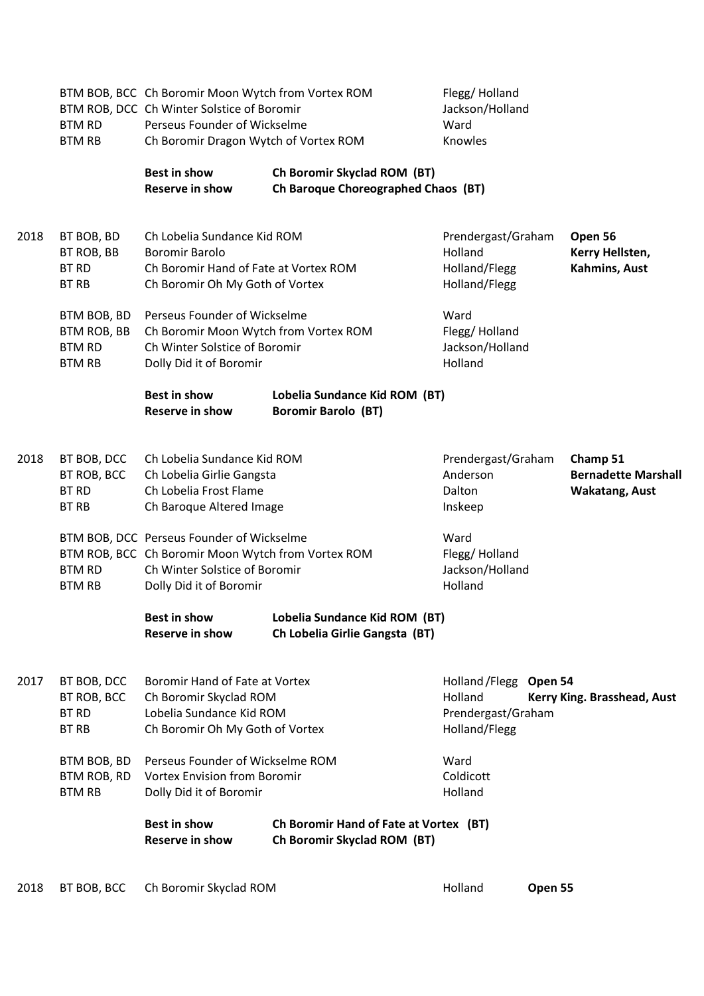|      | <b>BTM RD</b><br><b>BTM RB</b>                               | BTM BOB, BCC Ch Boromir Moon Wytch from Vortex ROM<br>BTM ROB, DCC Ch Winter Solstice of Boromir<br>Perseus Founder of Wickselme<br>Ch Boromir Dragon Wytch of Vortex ROM |                                                                       | Flegg/Holland<br>Jackson/Holland<br>Ward<br>Knowles               |         |                                                                 |
|------|--------------------------------------------------------------|---------------------------------------------------------------------------------------------------------------------------------------------------------------------------|-----------------------------------------------------------------------|-------------------------------------------------------------------|---------|-----------------------------------------------------------------|
|      |                                                              | <b>Best in show</b><br><b>Reserve in show</b>                                                                                                                             | Ch Boromir Skyclad ROM (BT)<br>Ch Baroque Choreographed Chaos (BT)    |                                                                   |         |                                                                 |
| 2018 | BT BOB, BD<br>BT ROB, BB<br><b>BT RD</b><br><b>BT RB</b>     | Ch Lobelia Sundance Kid ROM<br><b>Boromir Barolo</b><br>Ch Boromir Hand of Fate at Vortex ROM<br>Ch Boromir Oh My Goth of Vortex                                          |                                                                       | Prendergast/Graham<br>Holland<br>Holland/Flegg<br>Holland/Flegg   |         | Open 56<br>Kerry Hellsten,<br>Kahmins, Aust                     |
|      | BTM BOB, BD<br>BTM ROB, BB<br><b>BTM RD</b><br><b>BTM RB</b> | Perseus Founder of Wickselme<br>Ch Boromir Moon Wytch from Vortex ROM<br>Ch Winter Solstice of Boromir<br>Dolly Did it of Boromir                                         |                                                                       | Ward<br>Flegg/Holland<br>Jackson/Holland<br>Holland               |         |                                                                 |
|      |                                                              | <b>Best in show</b><br><b>Reserve in show</b>                                                                                                                             | Lobelia Sundance Kid ROM (BT)<br><b>Boromir Barolo (BT)</b>           |                                                                   |         |                                                                 |
| 2018 | BT BOB, DCC<br>BT ROB, BCC<br><b>BT RD</b><br>BT RB          | Ch Lobelia Sundance Kid ROM<br>Ch Lobelia Girlie Gangsta<br>Ch Lobelia Frost Flame<br>Ch Baroque Altered Image                                                            |                                                                       | Prendergast/Graham<br>Anderson<br>Dalton<br>Inskeep               |         | Champ 51<br><b>Bernadette Marshall</b><br><b>Wakatang, Aust</b> |
|      | <b>BTM RD</b><br><b>BTM RB</b>                               | BTM BOB, DCC Perseus Founder of Wickselme<br>BTM ROB, BCC Ch Boromir Moon Wytch from Vortex ROM<br>Ch Winter Solstice of Boromir<br>Dolly Did it of Boromir               |                                                                       | Ward<br>Flegg/Holland<br>Jackson/Holland<br>Holland               |         |                                                                 |
|      |                                                              | Best in show<br><b>Reserve in show</b>                                                                                                                                    | Lobelia Sundance Kid ROM (BT)<br>Ch Lobelia Girlie Gangsta (BT)       |                                                                   |         |                                                                 |
| 2017 | BT BOB, DCC<br>BT ROB, BCC<br><b>BT RD</b><br>BT RB          | Boromir Hand of Fate at Vortex<br>Ch Boromir Skyclad ROM<br>Lobelia Sundance Kid ROM<br>Ch Boromir Oh My Goth of Vortex                                                   |                                                                       | Holland / Flegg<br>Holland<br>Prendergast/Graham<br>Holland/Flegg | Open 54 | Kerry King. Brasshead, Aust                                     |
|      | BTM BOB, BD<br>BTM ROB, RD<br><b>BTM RB</b>                  | Perseus Founder of Wickselme ROM<br><b>Vortex Envision from Boromir</b><br>Dolly Did it of Boromir                                                                        |                                                                       | Ward<br>Coldicott<br>Holland                                      |         |                                                                 |
|      |                                                              | <b>Best in show</b><br><b>Reserve in show</b>                                                                                                                             | Ch Boromir Hand of Fate at Vortex (BT)<br>Ch Boromir Skyclad ROM (BT) |                                                                   |         |                                                                 |
| 2018 | BT BOB, BCC                                                  | Ch Boromir Skyclad ROM                                                                                                                                                    |                                                                       | Holland                                                           | Open 55 |                                                                 |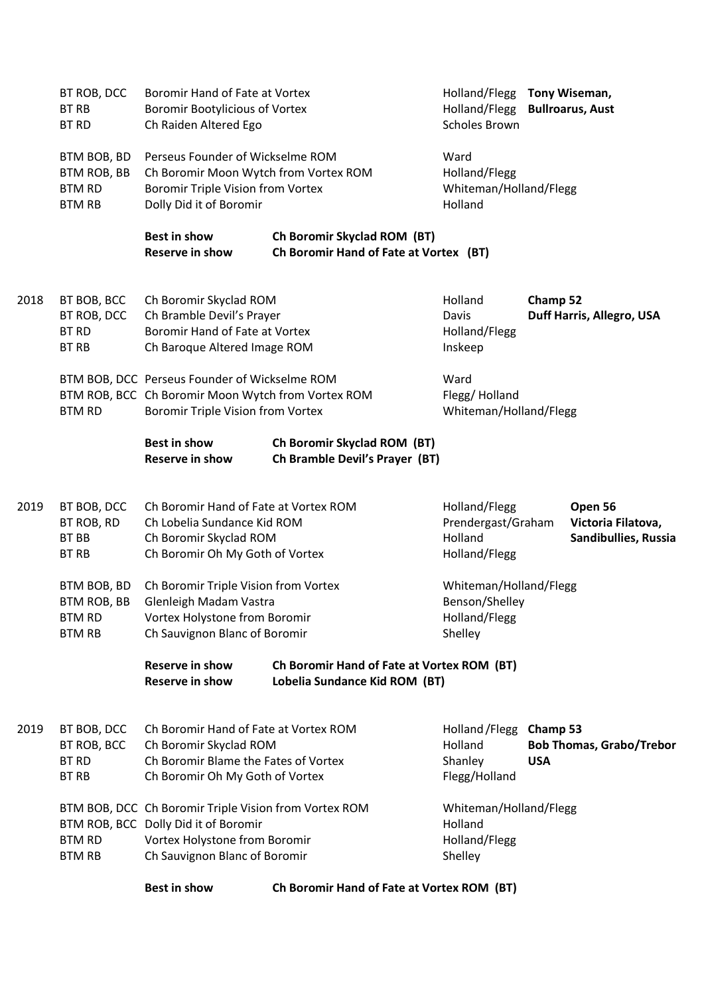|      |                                     | <b>Best in show</b>                                                                           | Ch Boromir Hand of Fate at Vortex ROM (BT) |                                         |                                                        |  |
|------|-------------------------------------|-----------------------------------------------------------------------------------------------|--------------------------------------------|-----------------------------------------|--------------------------------------------------------|--|
|      | <b>BTM RB</b>                       | Ch Sauvignon Blanc of Boromir                                                                 |                                            | Shelley                                 |                                                        |  |
|      | <b>BTM RD</b>                       | Vortex Holystone from Boromir                                                                 |                                            | Holland/Flegg                           |                                                        |  |
|      |                                     | BTM BOB, DCC Ch Boromir Triple Vision from Vortex ROM<br>BTM ROB, BCC Dolly Did it of Boromir |                                            | Whiteman/Holland/Flegg<br>Holland       |                                                        |  |
|      |                                     |                                                                                               |                                            |                                         |                                                        |  |
|      | <b>BT RB</b>                        | Ch Boromir Oh My Goth of Vortex                                                               |                                            | Flegg/Holland                           |                                                        |  |
|      | <b>BT RD</b>                        | Ch Boromir Blame the Fates of Vortex                                                          |                                            | Shanley                                 | <b>USA</b>                                             |  |
| 2019 | BT BOB, DCC<br>BT ROB, BCC          | Ch Boromir Skyclad ROM                                                                        |                                            | Holland                                 | <b>Bob Thomas, Grabo/Trebor</b>                        |  |
|      |                                     | Ch Boromir Hand of Fate at Vortex ROM                                                         |                                            | Holland / Flegg                         | Champ 53                                               |  |
|      |                                     | <b>Reserve in show</b>                                                                        | Lobelia Sundance Kid ROM (BT)              |                                         |                                                        |  |
|      |                                     | <b>Reserve in show</b>                                                                        | Ch Boromir Hand of Fate at Vortex ROM (BT) |                                         |                                                        |  |
|      | <b>BTM RB</b>                       | Ch Sauvignon Blanc of Boromir                                                                 |                                            | Shelley                                 |                                                        |  |
|      | <b>BTM RD</b>                       | Vortex Holystone from Boromir                                                                 |                                            | Holland/Flegg                           |                                                        |  |
|      | BTM ROB, BB                         | Glenleigh Madam Vastra                                                                        |                                            | Benson/Shelley                          |                                                        |  |
|      | BTM BOB, BD                         | Ch Boromir Triple Vision from Vortex                                                          |                                            | Whiteman/Holland/Flegg                  |                                                        |  |
|      | <b>BT RB</b>                        | Ch Boromir Oh My Goth of Vortex                                                               |                                            | Holland/Flegg                           |                                                        |  |
|      | <b>BT BB</b>                        | Ch Boromir Skyclad ROM                                                                        |                                            | Holland                                 | Sandibullies, Russia                                   |  |
|      | BT ROB, RD                          | Ch Lobelia Sundance Kid ROM                                                                   |                                            | Prendergast/Graham                      | Victoria Filatova,                                     |  |
| 2019 | BT BOB, DCC                         | Ch Boromir Hand of Fate at Vortex ROM                                                         |                                            | Holland/Flegg                           | Open 56                                                |  |
|      |                                     | <b>Reserve in show</b>                                                                        | Ch Bramble Devil's Prayer (BT)             |                                         |                                                        |  |
|      |                                     | <b>Best in show</b>                                                                           | Ch Boromir Skyclad ROM (BT)                |                                         |                                                        |  |
|      | <b>BTM RD</b>                       | Boromir Triple Vision from Vortex                                                             |                                            | Whiteman/Holland/Flegg                  |                                                        |  |
|      |                                     | BTM ROB, BCC Ch Boromir Moon Wytch from Vortex ROM                                            |                                            | Flegg/Holland                           |                                                        |  |
|      |                                     | BTM BOB, DCC Perseus Founder of Wickselme ROM                                                 |                                            | Ward                                    |                                                        |  |
|      | <b>BT RB</b>                        | Ch Baroque Altered Image ROM                                                                  |                                            | Inskeep                                 |                                                        |  |
|      | <b>BT RD</b>                        | Boromir Hand of Fate at Vortex                                                                |                                            | Holland/Flegg                           |                                                        |  |
|      | BT ROB, DCC                         | Ch Bramble Devil's Prayer                                                                     |                                            | Davis                                   | Duff Harris, Allegro, USA                              |  |
| 2018 | BT BOB, BCC                         | Ch Boromir Skyclad ROM                                                                        |                                            | Holland                                 | Champ 52                                               |  |
|      |                                     | <b>Reserve in show</b>                                                                        | Ch Boromir Hand of Fate at Vortex (BT)     |                                         |                                                        |  |
|      |                                     | <b>Best in show</b>                                                                           | Ch Boromir Skyclad ROM (BT)                |                                         |                                                        |  |
|      | <b>BTM RB</b>                       | Dolly Did it of Boromir                                                                       |                                            | Holland                                 |                                                        |  |
|      | <b>BTM ROB, BB</b><br><b>BTM RD</b> | Ch Boromir Moon Wytch from Vortex ROM<br><b>Boromir Triple Vision from Vortex</b>             |                                            | Holland/Flegg<br>Whiteman/Holland/Flegg |                                                        |  |
|      | BTM BOB, BD                         | Perseus Founder of Wickselme ROM                                                              |                                            | Ward                                    |                                                        |  |
|      |                                     |                                                                                               |                                            |                                         |                                                        |  |
|      | <b>BT RD</b>                        | Ch Raiden Altered Ego                                                                         |                                            | <b>Scholes Brown</b>                    |                                                        |  |
|      | BT ROB, DCC<br><b>BT RB</b>         | Boromir Hand of Fate at Vortex<br><b>Boromir Bootylicious of Vortex</b>                       |                                            | Holland/Flegg                           | Holland/Flegg Tony Wiseman,<br><b>Bullroarus, Aust</b> |  |
|      |                                     |                                                                                               |                                            |                                         |                                                        |  |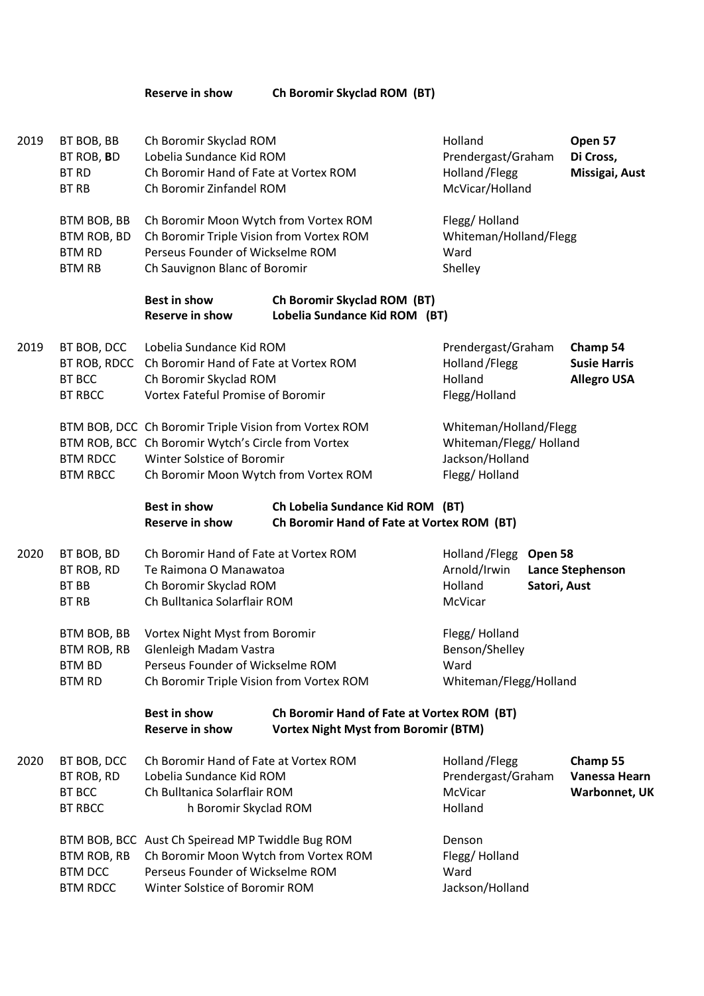**Reserve in show Ch Boromir Skyclad ROM (BT)**

| 2019 | BT BOB, BB<br>BT ROB, BD<br><b>BT RD</b><br><b>BT RB</b>       | Ch Boromir Skyclad ROM<br>Lobelia Sundance Kid ROM<br>Ch Boromir Hand of Fate at Vortex ROM<br>Ch Boromir Zinfandel ROM                                                            |                                                                                           | Holland<br>Prendergast/Graham<br>Holland / Flegg<br>McVicar/Holland                   |                                                       | Open 57<br>Di Cross,<br>Missigai, Aust     |
|------|----------------------------------------------------------------|------------------------------------------------------------------------------------------------------------------------------------------------------------------------------------|-------------------------------------------------------------------------------------------|---------------------------------------------------------------------------------------|-------------------------------------------------------|--------------------------------------------|
|      | BTM BOB, BB<br>BTM ROB, BD<br><b>BTM RD</b><br><b>BTM RB</b>   | Ch Boromir Moon Wytch from Vortex ROM<br>Ch Boromir Triple Vision from Vortex ROM<br>Perseus Founder of Wickselme ROM<br>Ch Sauvignon Blanc of Boromir                             |                                                                                           | Flegg/Holland<br>Whiteman/Holland/Flegg<br>Ward<br>Shelley                            |                                                       |                                            |
|      |                                                                | <b>Best in show</b><br><b>Reserve in show</b>                                                                                                                                      | Ch Boromir Skyclad ROM (BT)<br>Lobelia Sundance Kid ROM (BT)                              |                                                                                       |                                                       |                                            |
| 2019 | BT BOB, DCC<br>BT ROB, RDCC<br><b>BT BCC</b><br><b>BT RBCC</b> | Lobelia Sundance Kid ROM<br>Ch Boromir Hand of Fate at Vortex ROM<br>Ch Boromir Skyclad ROM<br><b>Vortex Fateful Promise of Boromir</b>                                            |                                                                                           | Prendergast/Graham<br>Holland / Flegg<br>Holland<br>Flegg/Holland                     | Champ 54<br><b>Susie Harris</b><br><b>Allegro USA</b> |                                            |
|      | <b>BTM RDCC</b><br><b>BTM RBCC</b>                             | BTM BOB, DCC Ch Boromir Triple Vision from Vortex ROM<br>BTM ROB, BCC Ch Boromir Wytch's Circle from Vortex<br>Winter Solstice of Boromir<br>Ch Boromir Moon Wytch from Vortex ROM |                                                                                           | Whiteman/Holland/Flegg<br>Whiteman/Flegg/ Holland<br>Jackson/Holland<br>Flegg/Holland |                                                       |                                            |
|      |                                                                | <b>Best in show</b><br><b>Reserve in show</b>                                                                                                                                      | Ch Lobelia Sundance Kid ROM (BT)<br>Ch Boromir Hand of Fate at Vortex ROM (BT)            |                                                                                       |                                                       |                                            |
| 2020 | BT BOB, BD<br>BT ROB, RD<br><b>BT BB</b><br><b>BT RB</b>       | Ch Boromir Hand of Fate at Vortex ROM<br>Te Raimona O Manawatoa<br>Ch Boromir Skyclad ROM<br>Ch Bulltanica Solarflair ROM                                                          |                                                                                           | Holland / Flegg<br>Arnold/Irwin<br>Holland<br>McVicar                                 | Open 58<br>Satori, Aust                               | <b>Lance Stephenson</b>                    |
|      | BTM BOB, BB<br>BTM ROB, RB<br><b>BTM BD</b><br><b>BTM RD</b>   | Vortex Night Myst from Boromir<br>Glenleigh Madam Vastra<br>Perseus Founder of Wickselme ROM<br>Ch Boromir Triple Vision from Vortex ROM                                           |                                                                                           | Flegg/Holland<br>Benson/Shelley<br>Ward<br>Whiteman/Flegg/Holland                     |                                                       |                                            |
|      |                                                                | <b>Best in show</b><br><b>Reserve in show</b>                                                                                                                                      | Ch Boromir Hand of Fate at Vortex ROM (BT)<br><b>Vortex Night Myst from Boromir (BTM)</b> |                                                                                       |                                                       |                                            |
| 2020 | BT BOB, DCC<br>BT ROB, RD<br><b>BT BCC</b><br><b>BT RBCC</b>   | Ch Boromir Hand of Fate at Vortex ROM<br>Lobelia Sundance Kid ROM<br>Ch Bulltanica Solarflair ROM<br>h Boromir Skyclad ROM                                                         |                                                                                           | Holland / Flegg<br>Prendergast/Graham<br>McVicar<br>Holland                           |                                                       | Champ 55<br>Vanessa Hearn<br>Warbonnet, UK |
|      | BTM ROB, RB<br><b>BTM DCC</b><br><b>BTM RDCC</b>               | BTM BOB, BCC Aust Ch Speiread MP Twiddle Bug ROM<br>Ch Boromir Moon Wytch from Vortex ROM<br>Perseus Founder of Wickselme ROM<br>Winter Solstice of Boromir ROM                    |                                                                                           | Denson<br>Flegg/Holland<br>Ward<br>Jackson/Holland                                    |                                                       |                                            |